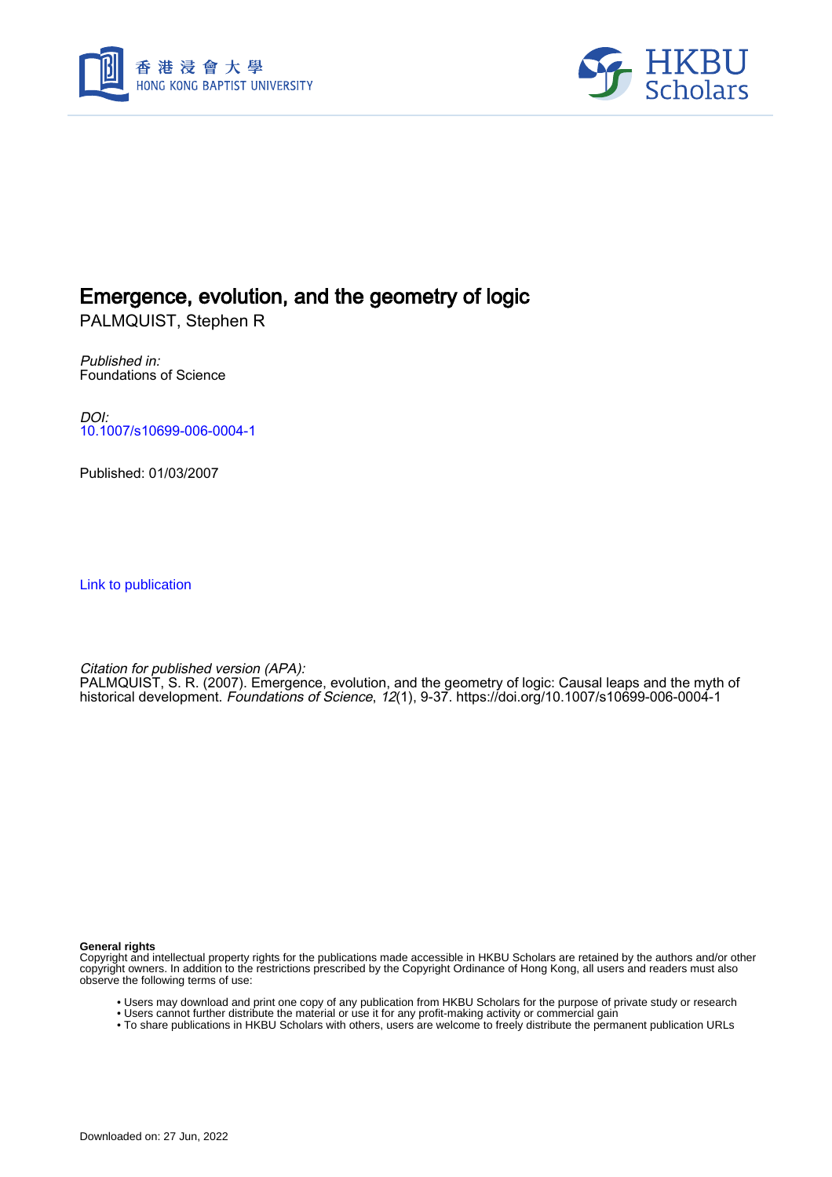



### Emergence, evolution, and the geometry of logic

PALMQUIST, Stephen R

Published in: Foundations of Science

DOI: [10.1007/s10699-006-0004-1](https://doi.org/10.1007/s10699-006-0004-1)

Published: 01/03/2007

[Link to publication](https://scholars.hkbu.edu.hk/en/publications/03476d96-5365-49a5-a16a-3c262c5f6f08)

Citation for published version (APA):

PALMQUIST, S. R. (2007). Emergence, evolution, and the geometry of logic: Causal leaps and the myth of historical development. Foundations of Science, 12(1), 9-37.<https://doi.org/10.1007/s10699-006-0004-1>

**General rights**

Copyright and intellectual property rights for the publications made accessible in HKBU Scholars are retained by the authors and/or other copyright owners. In addition to the restrictions prescribed by the Copyright Ordinance of Hong Kong, all users and readers must also observe the following terms of use:

- Users may download and print one copy of any publication from HKBU Scholars for the purpose of private study or research
- Users cannot further distribute the material or use it for any profit-making activity or commercial gain
- To share publications in HKBU Scholars with others, users are welcome to freely distribute the permanent publication URLs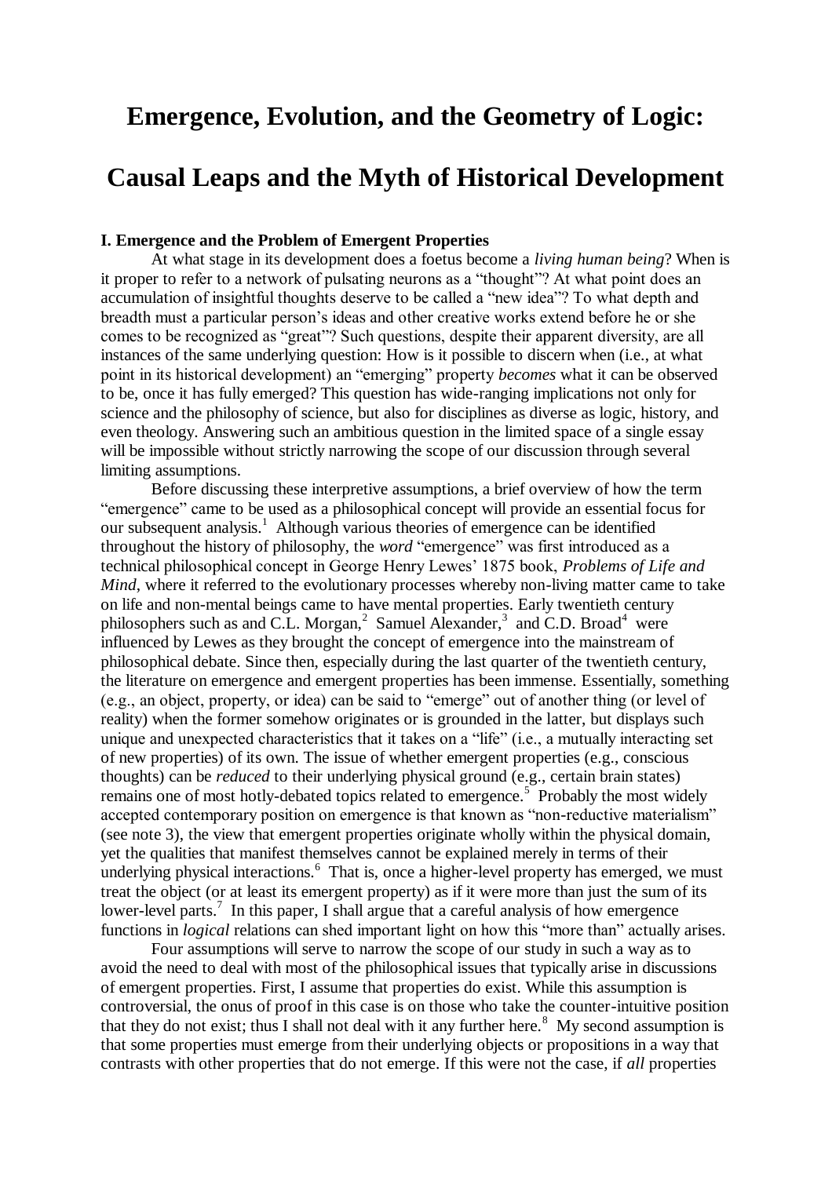### **Emergence, Evolution, and the Geometry of Logic:**

## **Causal Leaps and the Myth of Historical Development**

#### **I. Emergence and the Problem of Emergent Properties**

At what stage in its development does a foetus become a *living human being*? When is it proper to refer to a network of pulsating neurons as a "thought"? At what point does an accumulation of insightful thoughts deserve to be called a "new idea"? To what depth and breadth must a particular person's ideas and other creative works extend before he or she comes to be recognized as "great"? Such questions, despite their apparent diversity, are all instances of the same underlying question: How is it possible to discern when (i.e., at what point in its historical development) an "emerging" property *becomes* what it can be observed to be, once it has fully emerged? This question has wide-ranging implications not only for science and the philosophy of science, but also for disciplines as diverse as logic, history, and even theology. Answering such an ambitious question in the limited space of a single essay will be impossible without strictly narrowing the scope of our discussion through several limiting assumptions.

Before discussing these interpretive assumptions, a brief overview of how the term "emergence" came to be used as a philosophical concept will provide an essential focus for our subsequent analysis.<sup>1</sup> Although various theories of emergence can be identified throughout the history of philosophy, the *word* "emergence" was first introduced as a technical philosophical concept in George Henry Lewes' 1875 book, *Problems of Life and Mind*, where it referred to the evolutionary processes whereby non-living matter came to take on life and non-mental beings came to have mental properties. Early twentieth century philosophers such as and C.L. Morgan,<sup>2</sup> Samuel Alexander,<sup>3</sup> and C.D. Broad<sup>4</sup> were influenced by Lewes as they brought the concept of emergence into the mainstream of philosophical debate. Since then, especially during the last quarter of the twentieth century, the literature on emergence and emergent properties has been immense. Essentially, something (e.g., an object, property, or idea) can be said to "emerge" out of another thing (or level of reality) when the former somehow originates or is grounded in the latter, but displays such unique and unexpected characteristics that it takes on a "life" (i.e., a mutually interacting set of new properties) of its own. The issue of whether emergent properties (e.g., conscious thoughts) can be *reduced* to their underlying physical ground (e.g., certain brain states) remains one of most hotly-debated topics related to emergence.<sup>5</sup> Probably the most widely accepted contemporary position on emergence is that known as "non-reductive materialism" (see note 3), the view that emergent properties originate wholly within the physical domain, yet the qualities that manifest themselves cannot be explained merely in terms of their underlying physical interactions.<sup>6</sup> That is, once a higher-level property has emerged, we must treat the object (or at least its emergent property) as if it were more than just the sum of its lower-level parts.<sup>7</sup> In this paper, I shall argue that a careful analysis of how emergence functions in *logical* relations can shed important light on how this "more than" actually arises.

Four assumptions will serve to narrow the scope of our study in such a way as to avoid the need to deal with most of the philosophical issues that typically arise in discussions of emergent properties. First, I assume that properties do exist. While this assumption is controversial, the onus of proof in this case is on those who take the counter-intuitive position that they do not exist; thus I shall not deal with it any further here.<sup>8</sup> My second assumption is that some properties must emerge from their underlying objects or propositions in a way that contrasts with other properties that do not emerge. If this were not the case, if *all* properties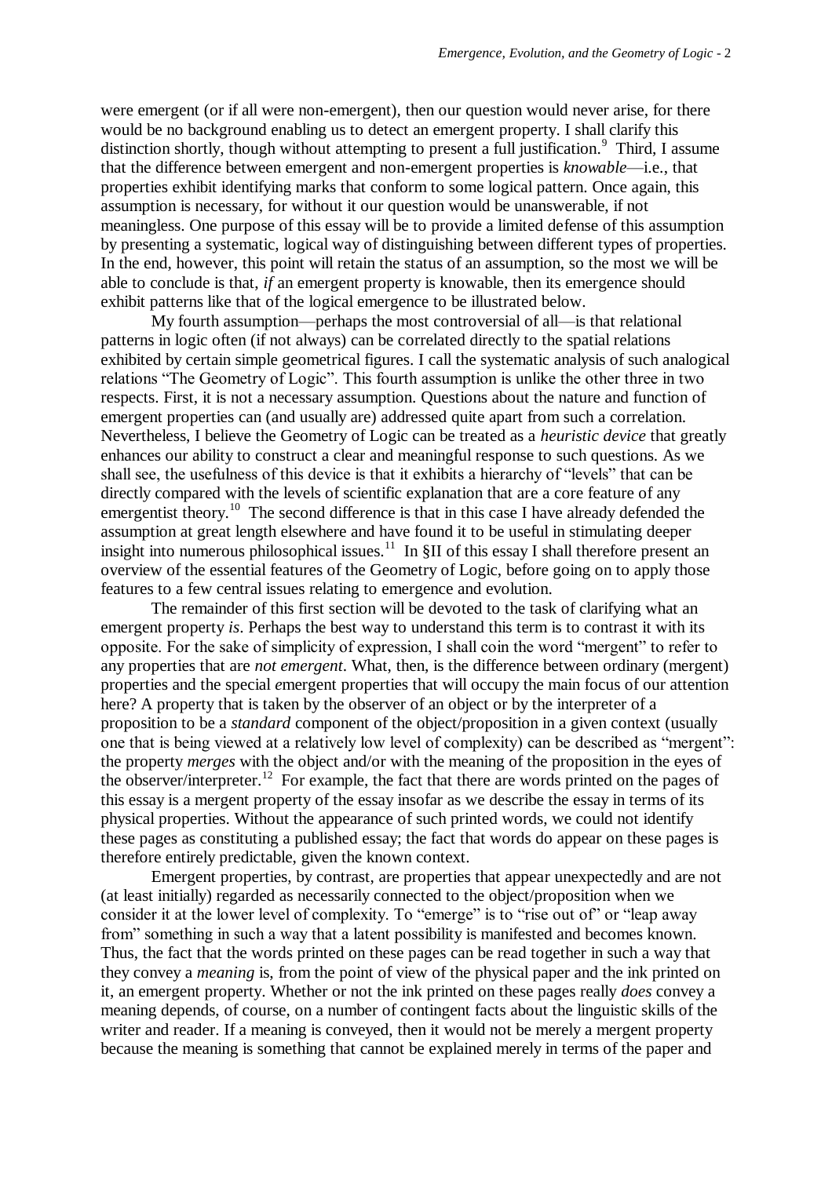were emergent (or if all were non-emergent), then our question would never arise, for there would be no background enabling us to detect an emergent property. I shall clarify this distinction shortly, though without attempting to present a full justification.<sup>9</sup> Third, I assume that the difference between emergent and non-emergent properties is *knowable*—i.e., that properties exhibit identifying marks that conform to some logical pattern. Once again, this assumption is necessary, for without it our question would be unanswerable, if not meaningless. One purpose of this essay will be to provide a limited defense of this assumption by presenting a systematic, logical way of distinguishing between different types of properties. In the end, however, this point will retain the status of an assumption, so the most we will be able to conclude is that, *if* an emergent property is knowable, then its emergence should exhibit patterns like that of the logical emergence to be illustrated below.

My fourth assumption—perhaps the most controversial of all—is that relational patterns in logic often (if not always) can be correlated directly to the spatial relations exhibited by certain simple geometrical figures. I call the systematic analysis of such analogical relations "The Geometry of Logic". This fourth assumption is unlike the other three in two respects. First, it is not a necessary assumption. Questions about the nature and function of emergent properties can (and usually are) addressed quite apart from such a correlation. Nevertheless, I believe the Geometry of Logic can be treated as a *heuristic device* that greatly enhances our ability to construct a clear and meaningful response to such questions. As we shall see, the usefulness of this device is that it exhibits a hierarchy of "levels" that can be directly compared with the levels of scientific explanation that are a core feature of any emergentist theory.<sup>10</sup> The second difference is that in this case I have already defended the assumption at great length elsewhere and have found it to be useful in stimulating deeper  $\frac{1}{\sqrt{10}}$  insight into numerous philosophical issues.<sup>11</sup> In §II of this essay I shall therefore present an overview of the essential features of the Geometry of Logic, before going on to apply those features to a few central issues relating to emergence and evolution.

The remainder of this first section will be devoted to the task of clarifying what an emergent property *is*. Perhaps the best way to understand this term is to contrast it with its opposite. For the sake of simplicity of expression, I shall coin the word "mergent" to refer to any properties that are *not emergent*. What, then, is the difference between ordinary (mergent) properties and the special *e*mergent properties that will occupy the main focus of our attention here? A property that is taken by the observer of an object or by the interpreter of a proposition to be a *standard* component of the object/proposition in a given context (usually one that is being viewed at a relatively low level of complexity) can be described as "mergent": the property *merges* with the object and/or with the meaning of the proposition in the eyes of the observer/interpreter.<sup>12</sup> For example, the fact that there are words printed on the pages of this essay is a mergent property of the essay insofar as we describe the essay in terms of its physical properties. Without the appearance of such printed words, we could not identify these pages as constituting a published essay; the fact that words do appear on these pages is therefore entirely predictable, given the known context.

Emergent properties, by contrast, are properties that appear unexpectedly and are not (at least initially) regarded as necessarily connected to the object/proposition when we consider it at the lower level of complexity. To "emerge" is to "rise out of" or "leap away from" something in such a way that a latent possibility is manifested and becomes known. Thus, the fact that the words printed on these pages can be read together in such a way that they convey a *meaning* is, from the point of view of the physical paper and the ink printed on it, an emergent property. Whether or not the ink printed on these pages really *does* convey a meaning depends, of course, on a number of contingent facts about the linguistic skills of the writer and reader. If a meaning is conveyed, then it would not be merely a mergent property because the meaning is something that cannot be explained merely in terms of the paper and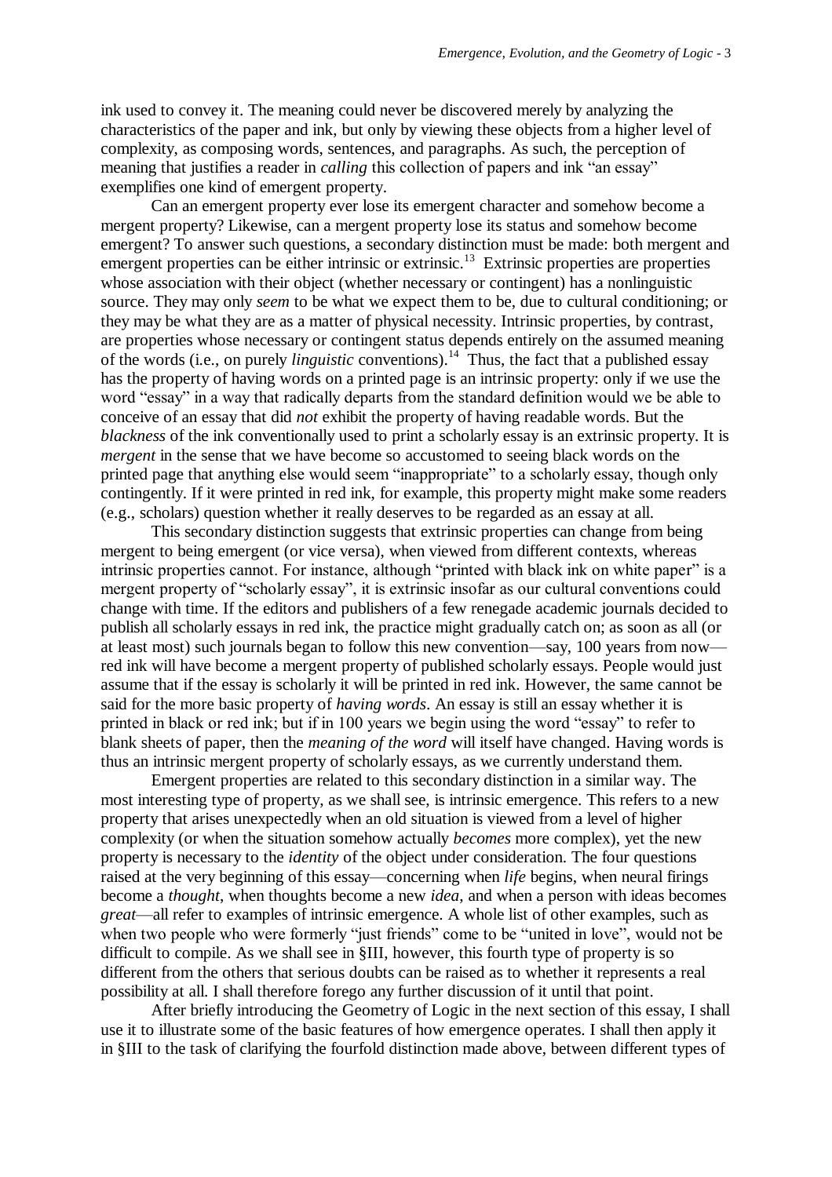ink used to convey it. The meaning could never be discovered merely by analyzing the characteristics of the paper and ink, but only by viewing these objects from a higher level of complexity, as composing words, sentences, and paragraphs. As such, the perception of meaning that justifies a reader in *calling* this collection of papers and ink "an essay" exemplifies one kind of emergent property.

Can an emergent property ever lose its emergent character and somehow become a mergent property? Likewise, can a mergent property lose its status and somehow become emergent? To answer such questions, a secondary distinction must be made: both mergent and emergent properties can be either intrinsic or extrinsic.<sup>13</sup> Extrinsic properties are properties whose association with their object (whether necessary or contingent) has a nonlinguistic source. They may only *seem* to be what we expect them to be, due to cultural conditioning; or they may be what they are as a matter of physical necessity. Intrinsic properties, by contrast, are properties whose necessary or contingent status depends entirely on the assumed meaning of the words (i.e., on purely *linguistic* conventions).<sup>14</sup> Thus, the fact that a published essay has the property of having words on a printed page is an intrinsic property: only if we use the word "essay" in a way that radically departs from the standard definition would we be able to conceive of an essay that did *not* exhibit the property of having readable words. But the *blackness* of the ink conventionally used to print a scholarly essay is an extrinsic property. It is *mergent* in the sense that we have become so accustomed to seeing black words on the printed page that anything else would seem "inappropriate" to a scholarly essay, though only contingently. If it were printed in red ink, for example, this property might make some readers (e.g., scholars) question whether it really deserves to be regarded as an essay at all.

This secondary distinction suggests that extrinsic properties can change from being mergent to being emergent (or vice versa), when viewed from different contexts, whereas intrinsic properties cannot. For instance, although "printed with black ink on white paper" is a mergent property of "scholarly essay", it is extrinsic insofar as our cultural conventions could change with time. If the editors and publishers of a few renegade academic journals decided to publish all scholarly essays in red ink, the practice might gradually catch on; as soon as all (or at least most) such journals began to follow this new convention—say, 100 years from now red ink will have become a mergent property of published scholarly essays. People would just assume that if the essay is scholarly it will be printed in red ink. However, the same cannot be said for the more basic property of *having words*. An essay is still an essay whether it is printed in black or red ink; but if in 100 years we begin using the word "essay" to refer to blank sheets of paper, then the *meaning of the word* will itself have changed. Having words is thus an intrinsic mergent property of scholarly essays, as we currently understand them.

Emergent properties are related to this secondary distinction in a similar way. The most interesting type of property, as we shall see, is intrinsic emergence. This refers to a new property that arises unexpectedly when an old situation is viewed from a level of higher complexity (or when the situation somehow actually *becomes* more complex), yet the new property is necessary to the *identity* of the object under consideration. The four questions raised at the very beginning of this essay—concerning when *life* begins, when neural firings become a *thought*, when thoughts become a new *idea*, and when a person with ideas becomes *great*—all refer to examples of intrinsic emergence. A whole list of other examples, such as when two people who were formerly "just friends" come to be "united in love", would not be difficult to compile. As we shall see in §III, however, this fourth type of property is so different from the others that serious doubts can be raised as to whether it represents a real possibility at all. I shall therefore forego any further discussion of it until that point.

After briefly introducing the Geometry of Logic in the next section of this essay, I shall use it to illustrate some of the basic features of how emergence operates. I shall then apply it in §III to the task of clarifying the fourfold distinction made above, between different types of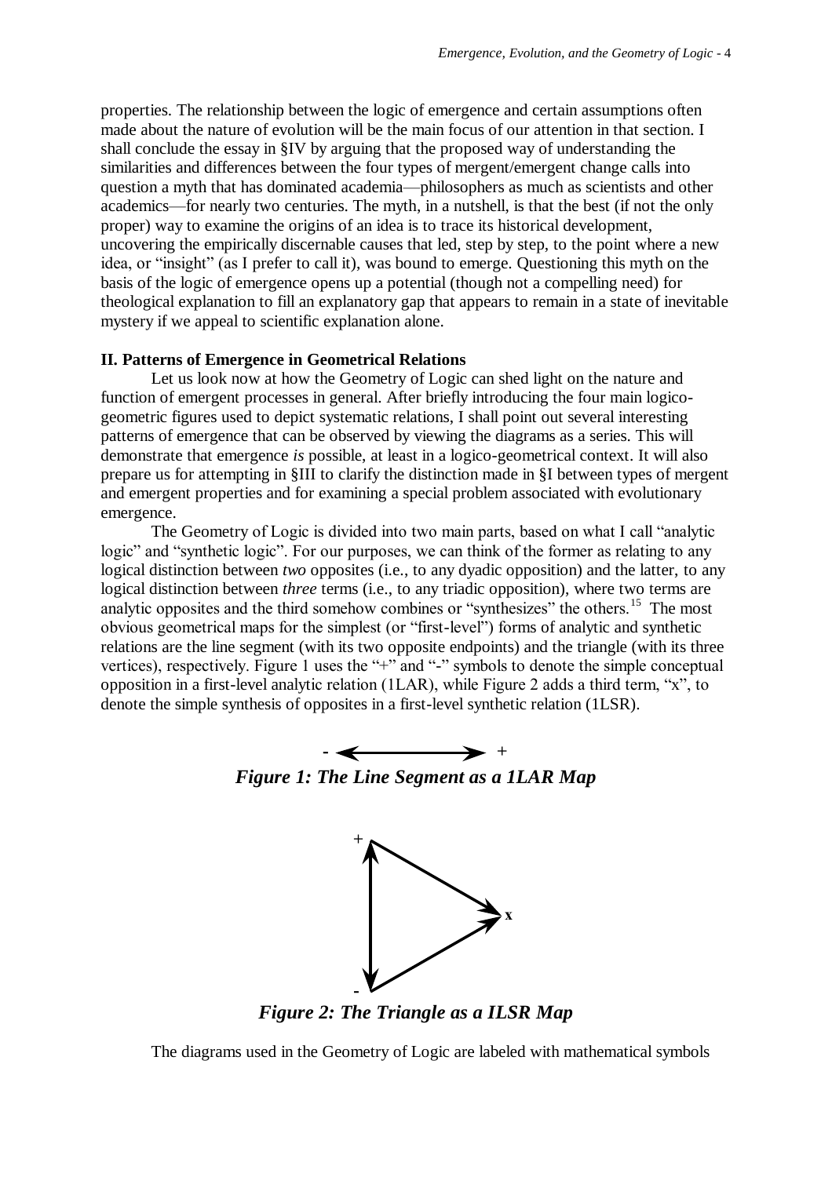properties. The relationship between the logic of emergence and certain assumptions often made about the nature of evolution will be the main focus of our attention in that section. I shall conclude the essay in §IV by arguing that the proposed way of understanding the similarities and differences between the four types of mergent/emergent change calls into question a myth that has dominated academia—philosophers as much as scientists and other academics—for nearly two centuries. The myth, in a nutshell, is that the best (if not the only proper) way to examine the origins of an idea is to trace its historical development, uncovering the empirically discernable causes that led, step by step, to the point where a new idea, or "insight" (as I prefer to call it), was bound to emerge. Questioning this myth on the basis of the logic of emergence opens up a potential (though not a compelling need) for theological explanation to fill an explanatory gap that appears to remain in a state of inevitable mystery if we appeal to scientific explanation alone.

#### **II. Patterns of Emergence in Geometrical Relations**

Let us look now at how the Geometry of Logic can shed light on the nature and function of emergent processes in general. After briefly introducing the four main logicogeometric figures used to depict systematic relations, I shall point out several interesting patterns of emergence that can be observed by viewing the diagrams as a series. This will demonstrate that emergence *is* possible, at least in a logico-geometrical context. It will also prepare us for attempting in §III to clarify the distinction made in §I between types of mergent and emergent properties and for examining a special problem associated with evolutionary emergence.

The Geometry of Logic is divided into two main parts, based on what I call "analytic logic" and "synthetic logic". For our purposes, we can think of the former as relating to any logical distinction between *two* opposites (i.e., to any dyadic opposition) and the latter, to any logical distinction between *three* terms (i.e., to any triadic opposition), where two terms are analytic opposites and the third somehow combines or "synthesizes" the others.<sup>15</sup> The most obvious geometrical maps for the simplest (or "first-level") forms of analytic and synthetic relations are the line segment (with its two opposite endpoints) and the triangle (with its three vertices), respectively. Figure 1 uses the "+" and "-" symbols to denote the simple conceptual opposition in a first-level analytic relation (1LAR), while Figure 2 adds a third term, "x", to denote the simple synthesis of opposites in a first-level synthetic relation (1LSR).





*Figure 2: The Triangle as a ILSR Map* 

The diagrams used in the Geometry of Logic are labeled with mathematical symbols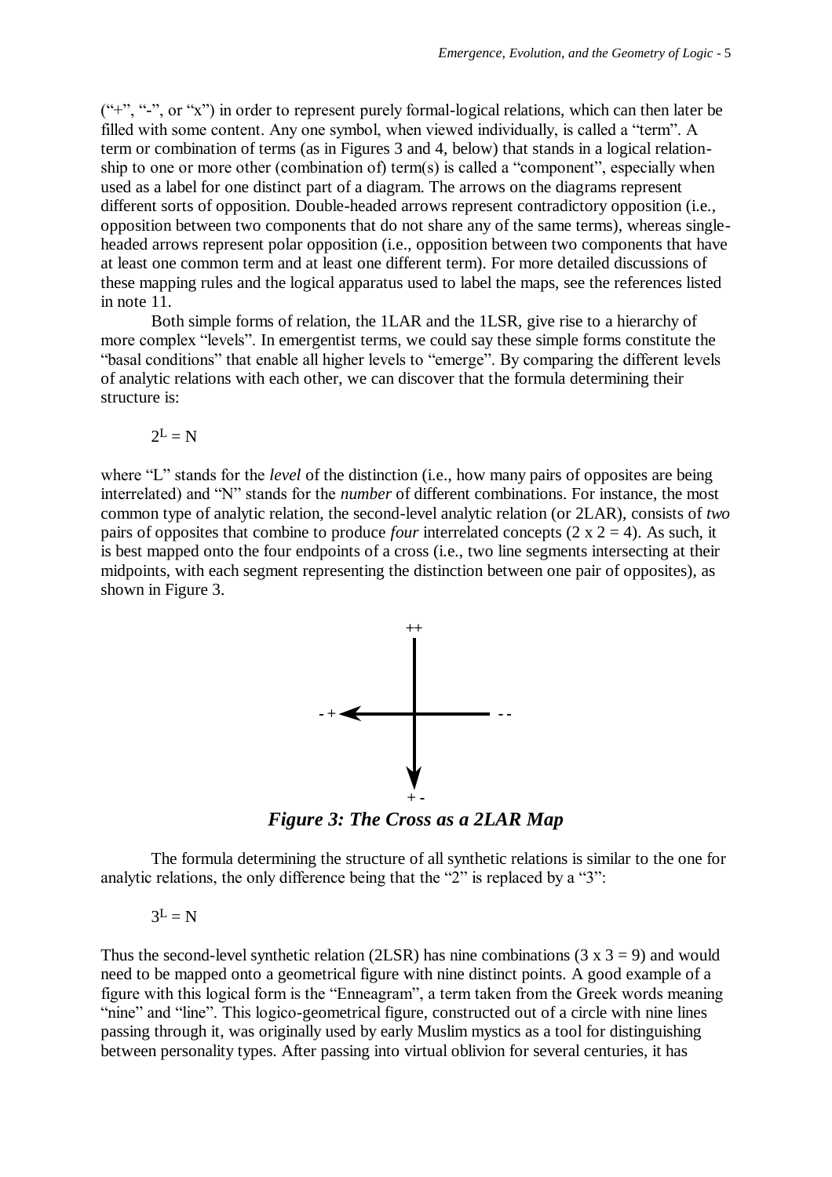$($ "+", "-", or "x") in order to represent purely formal-logical relations, which can then later be filled with some content. Any one symbol, when viewed individually, is called a "term". A term or combination of terms (as in Figures 3 and 4, below) that stands in a logical relationship to one or more other (combination of) term(s) is called a "component", especially when used as a label for one distinct part of a diagram. The arrows on the diagrams represent different sorts of opposition. Double-headed arrows represent contradictory opposition (i.e., opposition between two components that do not share any of the same terms), whereas singleheaded arrows represent polar opposition (i.e., opposition between two components that have at least one common term and at least one different term). For more detailed discussions of these mapping rules and the logical apparatus used to label the maps, see the references listed in note 11.

Both simple forms of relation, the 1LAR and the 1LSR, give rise to a hierarchy of more complex "levels". In emergentist terms, we could say these simple forms constitute the "basal conditions" that enable all higher levels to "emerge". By comparing the different levels of analytic relations with each other, we can discover that the formula determining their structure is:

 $2^{\mathbf{L}} = \mathbf{N}$ 

where "L" stands for the *level* of the distinction (i.e., how many pairs of opposites are being interrelated) and "N" stands for the *number* of different combinations. For instance, the most common type of analytic relation, the second-level analytic relation (or 2LAR), consists of *two* pairs of opposites that combine to produce *four* interrelated concepts  $(2 \times 2 = 4)$ . As such, it is best mapped onto the four endpoints of a cross (i.e., two line segments intersecting at their midpoints, with each segment representing the distinction between one pair of opposites), as shown in Figure 3.



*Figure 3: The Cross as a 2LAR Map*

The formula determining the structure of all synthetic relations is similar to the one for analytic relations, the only difference being that the "2" is replaced by a "3":

$$
3^L=N
$$

Thus the second-level synthetic relation (2LSR) has nine combinations (3 x  $3 = 9$ ) and would need to be mapped onto a geometrical figure with nine distinct points. A good example of a figure with this logical form is the "Enneagram", a term taken from the Greek words meaning "nine" and "line". This logico-geometrical figure, constructed out of a circle with nine lines passing through it, was originally used by early Muslim mystics as a tool for distinguishing between personality types. After passing into virtual oblivion for several centuries, it has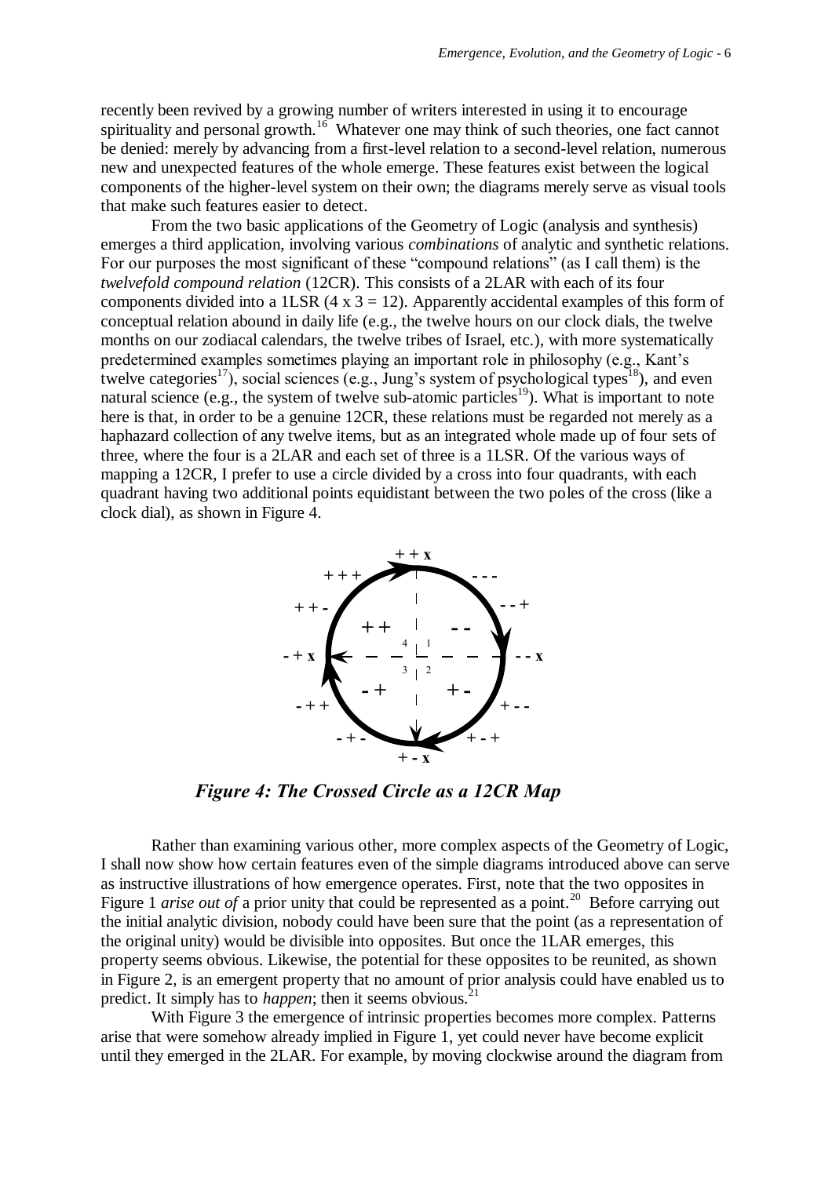recently been revived by a growing number of writers interested in using it to encourage spirituality and personal growth.<sup>16</sup> Whatever one may think of such theories, one fact cannot be denied: merely by advancing from a first-level relation to a second-level relation, numerous new and unexpected features of the whole emerge. These features exist between the logical components of the higher-level system on their own; the diagrams merely serve as visual tools that make such features easier to detect.

From the two basic applications of the Geometry of Logic (analysis and synthesis) emerges a third application, involving various *combinations* of analytic and synthetic relations. For our purposes the most significant of these "compound relations" (as I call them) is the *twelvefold compound relation* (12CR). This consists of a 2LAR with each of its four components divided into a 1LSR (4 x 3 = 12). Apparently accidental examples of this form of conceptual relation abound in daily life (e.g., the twelve hours on our clock dials, the twelve months on our zodiacal calendars, the twelve tribes of Israel, etc.), with more systematically predetermined examples sometimes playing an important role in philosophy (e.g., Kant's twelve categories<sup>17</sup>), social sciences (e.g., Jung's system of psychological types<sup>18</sup>), and even natural science (e.g., the system of twelve sub-atomic particles<sup>19</sup>). What is important to note here is that, in order to be a genuine 12CR, these relations must be regarded not merely as a haphazard collection of any twelve items, but as an integrated whole made up of four sets of three, where the four is a 2LAR and each set of three is a 1LSR. Of the various ways of mapping a 12CR, I prefer to use a circle divided by a cross into four quadrants, with each quadrant having two additional points equidistant between the two poles of the cross (like a clock dial), as shown in Figure 4.



*Figure 4: The Crossed Circle as a 12CR Map*

Rather than examining various other, more complex aspects of the Geometry of Logic, I shall now show how certain features even of the simple diagrams introduced above can serve as instructive illustrations of how emergence operates. First, note that the two opposites in Figure 1 *arise out of* a prior unity that could be represented as a point.<sup>20</sup> Before carrying out the initial analytic division, nobody could have been sure that the point (as a representation of the original unity) would be divisible into opposites. But once the 1LAR emerges, this property seems obvious. Likewise, the potential for these opposites to be reunited, as shown in Figure 2, is an emergent property that no amount of prior analysis could have enabled us to predict. It simply has to *happen*; then it seems obvious.<sup>21</sup>

With Figure 3 the emergence of intrinsic properties becomes more complex. Patterns arise that were somehow already implied in Figure 1, yet could never have become explicit until they emerged in the 2LAR. For example, by moving clockwise around the diagram from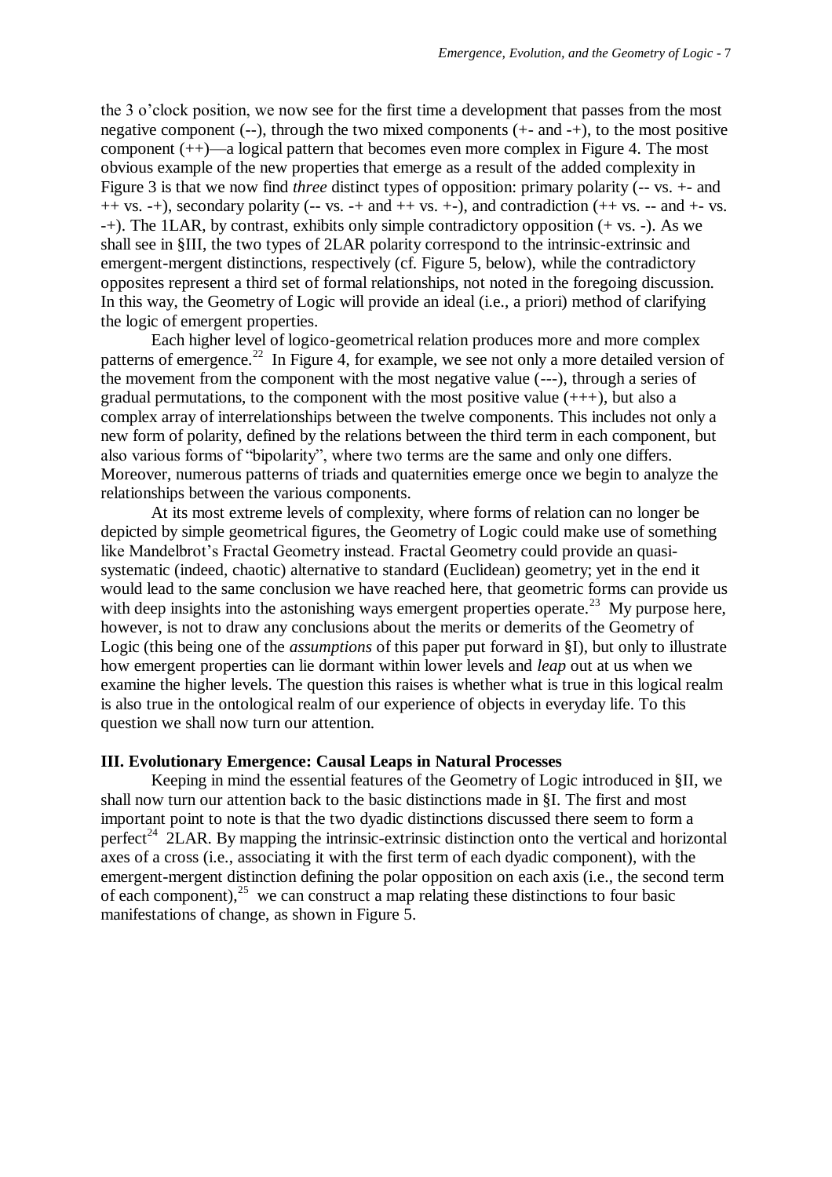the 3 o'clock position, we now see for the first time a development that passes from the most negative component  $(-)$ , through the two mixed components  $(+$ - and  $(+)$ , to the most positive component (++)—a logical pattern that becomes even more complex in Figure 4. The most obvious example of the new properties that emerge as a result of the added complexity in Figure 3 is that we now find *three* distinct types of opposition: primary polarity (-- vs. +- and  $++$  vs.  $-+$ ), secondary polarity ( $--$  vs.  $-+$  and  $++$  vs.  $+-$ ), and contradiction ( $++$  vs.  $--$  and  $+-$  vs. -+). The 1LAR, by contrast, exhibits only simple contradictory opposition (+ vs. -). As we shall see in §III, the two types of 2LAR polarity correspond to the intrinsic-extrinsic and emergent-mergent distinctions, respectively (cf. Figure 5, below), while the contradictory opposites represent a third set of formal relationships, not noted in the foregoing discussion. In this way, the Geometry of Logic will provide an ideal (i.e., a priori) method of clarifying the logic of emergent properties.

Each higher level of logico-geometrical relation produces more and more complex patterns of emergence.<sup>22</sup> In Figure 4, for example, we see not only a more detailed version of the movement from the component with the most negative value (---), through a series of gradual permutations, to the component with the most positive value  $(++)$ , but also a complex array of interrelationships between the twelve components. This includes not only a new form of polarity, defined by the relations between the third term in each component, but also various forms of "bipolarity", where two terms are the same and only one differs. Moreover, numerous patterns of triads and quaternities emerge once we begin to analyze the relationships between the various components.

At its most extreme levels of complexity, where forms of relation can no longer be depicted by simple geometrical figures, the Geometry of Logic could make use of something like Mandelbrot's Fractal Geometry instead. Fractal Geometry could provide an quasisystematic (indeed, chaotic) alternative to standard (Euclidean) geometry; yet in the end it would lead to the same conclusion we have reached here, that geometric forms can provide us with deep insights into the astonishing ways emergent properties operate.<sup>23</sup> My purpose here, however, is not to draw any conclusions about the merits or demerits of the Geometry of Logic (this being one of the *assumptions* of this paper put forward in §I), but only to illustrate how emergent properties can lie dormant within lower levels and *leap* out at us when we examine the higher levels. The question this raises is whether what is true in this logical realm is also true in the ontological realm of our experience of objects in everyday life. To this question we shall now turn our attention.

#### **III. Evolutionary Emergence: Causal Leaps in Natural Processes**

Keeping in mind the essential features of the Geometry of Logic introduced in §II, we shall now turn our attention back to the basic distinctions made in §I. The first and most important point to note is that the two dyadic distinctions discussed there seem to form a perfect<sup>24</sup> 2LAR. By mapping the intrinsic-extrinsic distinction onto the vertical and horizontal axes of a cross (i.e., associating it with the first term of each dyadic component), with the emergent-mergent distinction defining the polar opposition on each axis (i.e., the second term of each component),  $25$  we can construct a map relating these distinctions to four basic manifestations of change, as shown in Figure 5.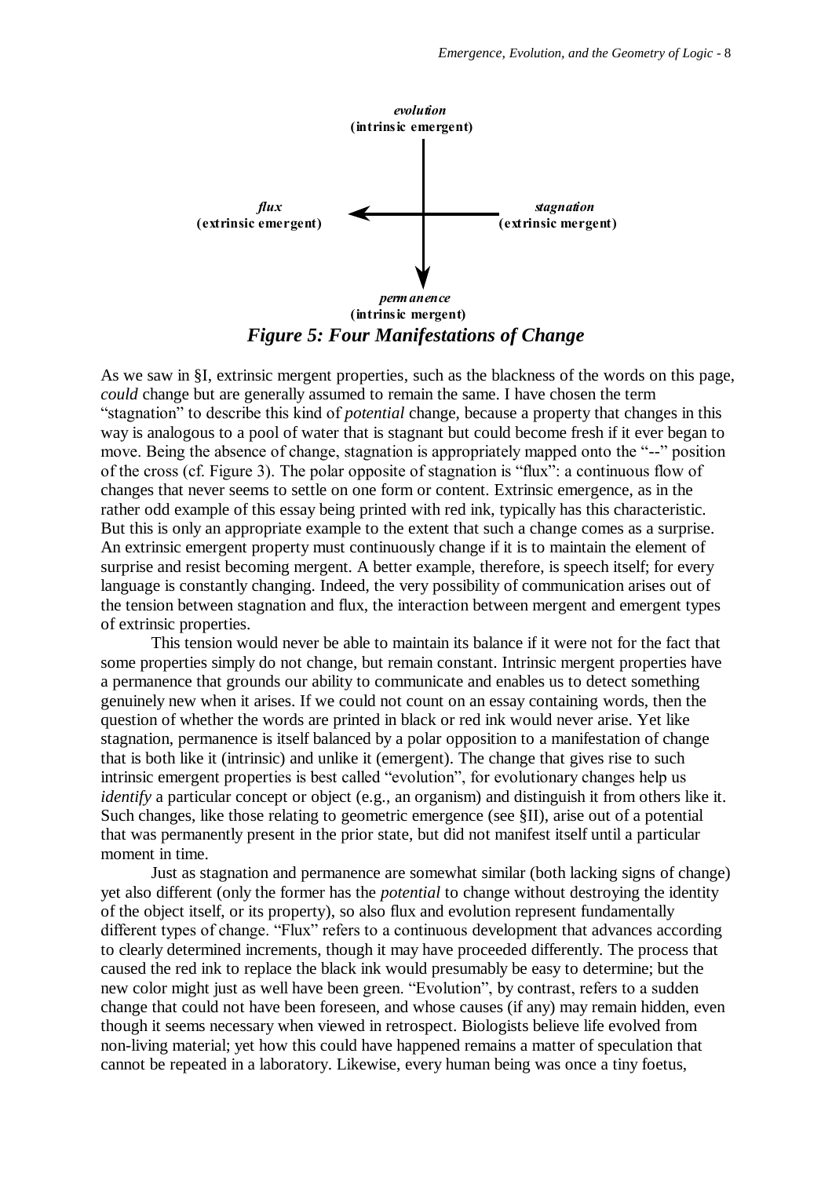

As we saw in §I, extrinsic mergent properties, such as the blackness of the words on this page, *could* change but are generally assumed to remain the same. I have chosen the term "stagnation" to describe this kind of *potential* change, because a property that changes in this way is analogous to a pool of water that is stagnant but could become fresh if it ever began to move. Being the absence of change, stagnation is appropriately mapped onto the "--" position of the cross (cf. Figure 3). The polar opposite of stagnation is "flux": a continuous flow of changes that never seems to settle on one form or content. Extrinsic emergence, as in the rather odd example of this essay being printed with red ink, typically has this characteristic. But this is only an appropriate example to the extent that such a change comes as a surprise. An extrinsic emergent property must continuously change if it is to maintain the element of surprise and resist becoming mergent. A better example, therefore, is speech itself; for every language is constantly changing. Indeed, the very possibility of communication arises out of the tension between stagnation and flux, the interaction between mergent and emergent types of extrinsic properties.

This tension would never be able to maintain its balance if it were not for the fact that some properties simply do not change, but remain constant. Intrinsic mergent properties have a permanence that grounds our ability to communicate and enables us to detect something genuinely new when it arises. If we could not count on an essay containing words, then the question of whether the words are printed in black or red ink would never arise. Yet like stagnation, permanence is itself balanced by a polar opposition to a manifestation of change that is both like it (intrinsic) and unlike it (emergent). The change that gives rise to such intrinsic emergent properties is best called "evolution", for evolutionary changes help us *identify* a particular concept or object (e.g., an organism) and distinguish it from others like it. Such changes, like those relating to geometric emergence (see §II), arise out of a potential that was permanently present in the prior state, but did not manifest itself until a particular moment in time.

Just as stagnation and permanence are somewhat similar (both lacking signs of change) yet also different (only the former has the *potential* to change without destroying the identity of the object itself, or its property), so also flux and evolution represent fundamentally different types of change. "Flux" refers to a continuous development that advances according to clearly determined increments, though it may have proceeded differently. The process that caused the red ink to replace the black ink would presumably be easy to determine; but the new color might just as well have been green. "Evolution", by contrast, refers to a sudden change that could not have been foreseen, and whose causes (if any) may remain hidden, even though it seems necessary when viewed in retrospect. Biologists believe life evolved from non-living material; yet how this could have happened remains a matter of speculation that cannot be repeated in a laboratory. Likewise, every human being was once a tiny foetus,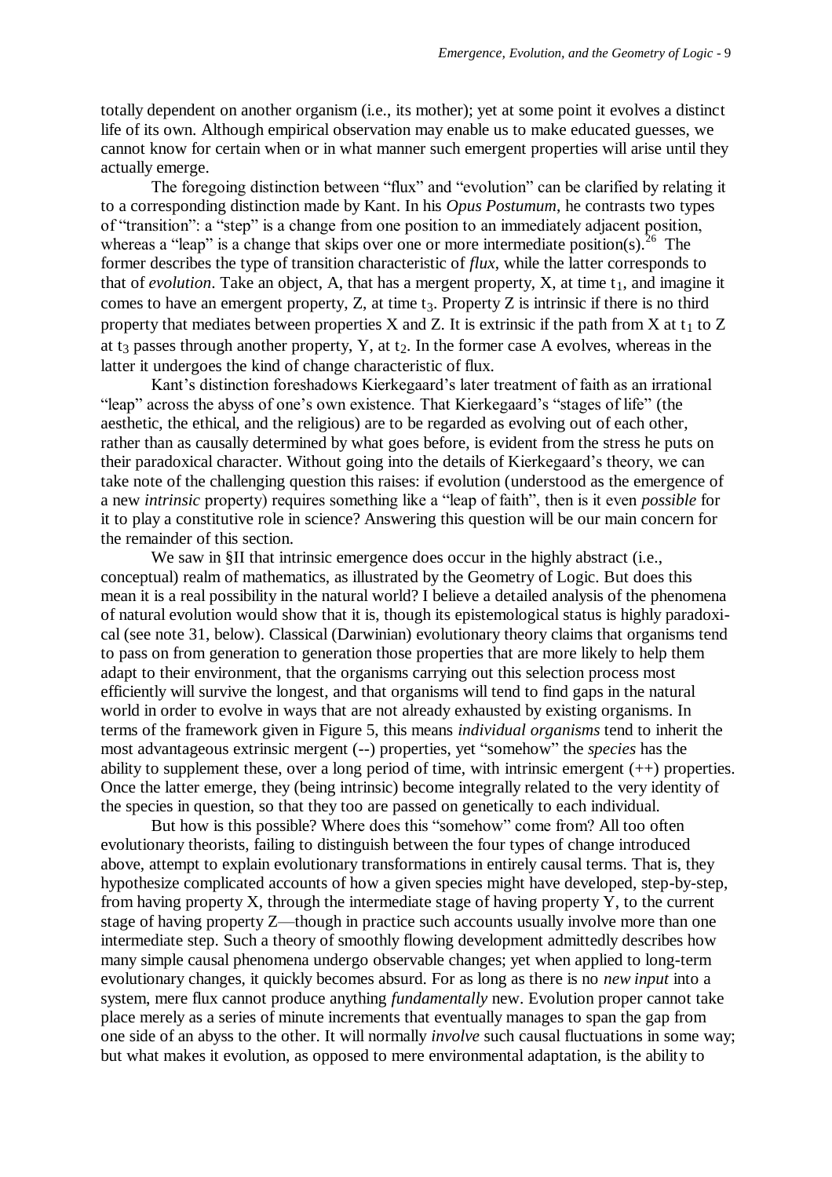totally dependent on another organism (i.e., its mother); yet at some point it evolves a distinct life of its own. Although empirical observation may enable us to make educated guesses, we cannot know for certain when or in what manner such emergent properties will arise until they actually emerge.

The foregoing distinction between "flux" and "evolution" can be clarified by relating it to a corresponding distinction made by Kant. In his *Opus Postumum*, he contrasts two types of "transition": a "step" is a change from one position to an immediately adjacent position, whereas a "leap" is a change that skips over one or more intermediate position(s).<sup>26</sup> The former describes the type of transition characteristic of *flux*, while the latter corresponds to that of *evolution*. Take an object, A, that has a mergent property, X, at time  $t_1$ , and imagine it comes to have an emergent property,  $Z$ , at time  $t_3$ . Property  $Z$  is intrinsic if there is no third property that mediates between properties X and Z. It is extrinsic if the path from X at  $t_1$  to Z at t<sub>3</sub> passes through another property, Y, at t<sub>2</sub>. In the former case A evolves, whereas in the latter it undergoes the kind of change characteristic of flux.

Kant's distinction foreshadows Kierkegaard's later treatment of faith as an irrational "leap" across the abyss of one's own existence. That Kierkegaard's "stages of life" (the aesthetic, the ethical, and the religious) are to be regarded as evolving out of each other, rather than as causally determined by what goes before, is evident from the stress he puts on their paradoxical character. Without going into the details of Kierkegaard's theory, we can take note of the challenging question this raises: if evolution (understood as the emergence of a new *intrinsic* property) requires something like a "leap of faith", then is it even *possible* for it to play a constitutive role in science? Answering this question will be our main concern for the remainder of this section.

We saw in §II that intrinsic emergence does occur in the highly abstract (i.e., conceptual) realm of mathematics, as illustrated by the Geometry of Logic. But does this mean it is a real possibility in the natural world? I believe a detailed analysis of the phenomena of natural evolution would show that it is, though its epistemological status is highly paradoxical (see note 31, below). Classical (Darwinian) evolutionary theory claims that organisms tend to pass on from generation to generation those properties that are more likely to help them adapt to their environment, that the organisms carrying out this selection process most efficiently will survive the longest, and that organisms will tend to find gaps in the natural world in order to evolve in ways that are not already exhausted by existing organisms. In terms of the framework given in Figure 5, this means *individual organisms* tend to inherit the most advantageous extrinsic mergent (--) properties, yet "somehow" the *species* has the ability to supplement these, over a long period of time, with intrinsic emergent (++) properties. Once the latter emerge, they (being intrinsic) become integrally related to the very identity of the species in question, so that they too are passed on genetically to each individual.

But how is this possible? Where does this "somehow" come from? All too often evolutionary theorists, failing to distinguish between the four types of change introduced above, attempt to explain evolutionary transformations in entirely causal terms. That is, they hypothesize complicated accounts of how a given species might have developed, step-by-step, from having property X, through the intermediate stage of having property Y, to the current stage of having property Z—though in practice such accounts usually involve more than one intermediate step. Such a theory of smoothly flowing development admittedly describes how many simple causal phenomena undergo observable changes; yet when applied to long-term evolutionary changes, it quickly becomes absurd. For as long as there is no *new input* into a system, mere flux cannot produce anything *fundamentally* new. Evolution proper cannot take place merely as a series of minute increments that eventually manages to span the gap from one side of an abyss to the other. It will normally *involve* such causal fluctuations in some way; but what makes it evolution, as opposed to mere environmental adaptation, is the ability to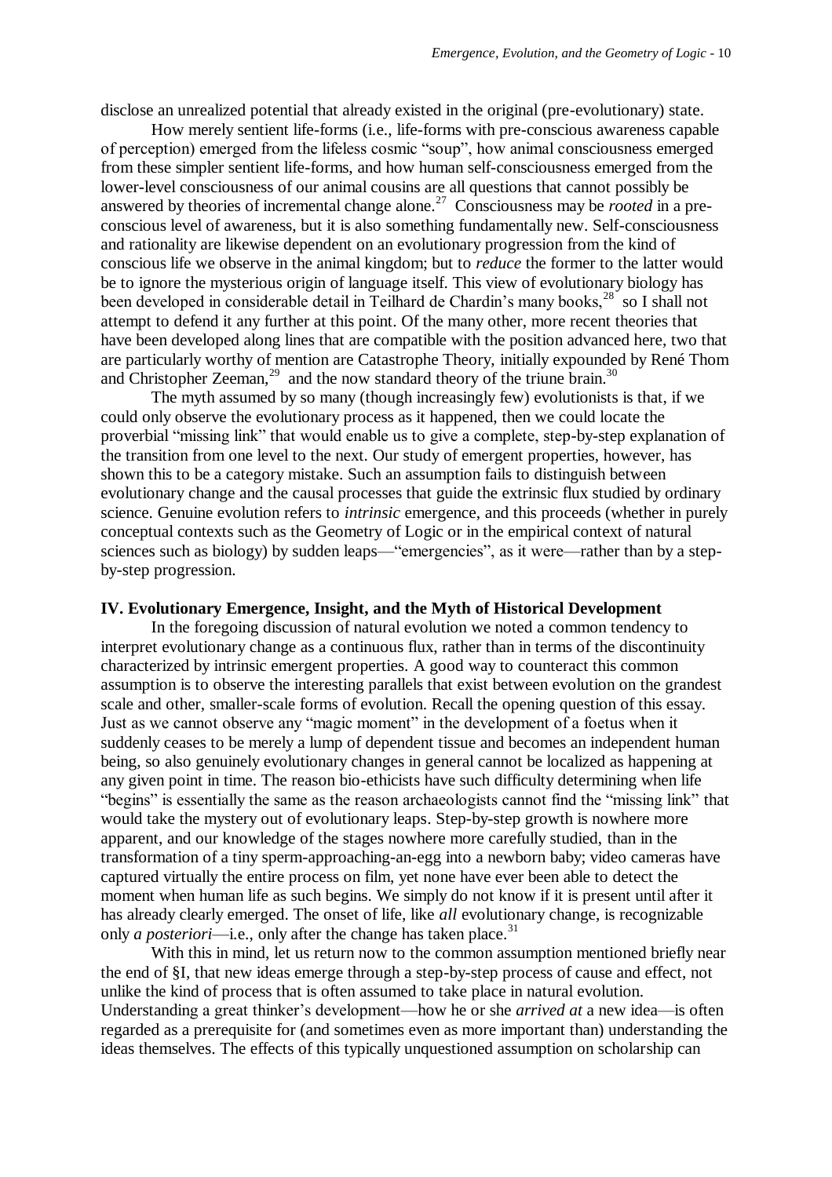disclose an unrealized potential that already existed in the original (pre-evolutionary) state.

How merely sentient life-forms (i.e., life-forms with pre-conscious awareness capable of perception) emerged from the lifeless cosmic "soup", how animal consciousness emerged from these simpler sentient life-forms, and how human self-consciousness emerged from the lower-level consciousness of our animal cousins are all questions that cannot possibly be answered by theories of incremental change alone.<sup>27</sup> Consciousness may be *rooted* in a preconscious level of awareness, but it is also something fundamentally new. Self-consciousness and rationality are likewise dependent on an evolutionary progression from the kind of conscious life we observe in the animal kingdom; but to *reduce* the former to the latter would be to ignore the mysterious origin of language itself. This view of evolutionary biology has been developed in considerable detail in Teilhard de Chardin's many books,  $28$  so I shall not attempt to defend it any further at this point. Of the many other, more recent theories that have been developed along lines that are compatible with the position advanced here, two that are particularly worthy of mention are Catastrophe Theory, initially expounded by René Thom and Christopher Zeeman,  $29$  and the now standard theory of the triune brain.<sup>30</sup>

The myth assumed by so many (though increasingly few) evolutionists is that, if we could only observe the evolutionary process as it happened, then we could locate the proverbial "missing link" that would enable us to give a complete, step-by-step explanation of the transition from one level to the next. Our study of emergent properties, however, has shown this to be a category mistake. Such an assumption fails to distinguish between evolutionary change and the causal processes that guide the extrinsic flux studied by ordinary science. Genuine evolution refers to *intrinsic* emergence, and this proceeds (whether in purely conceptual contexts such as the Geometry of Logic or in the empirical context of natural sciences such as biology) by sudden leaps—"emergencies", as it were—rather than by a stepby-step progression.

#### **IV. Evolutionary Emergence, Insight, and the Myth of Historical Development**

In the foregoing discussion of natural evolution we noted a common tendency to interpret evolutionary change as a continuous flux, rather than in terms of the discontinuity characterized by intrinsic emergent properties. A good way to counteract this common assumption is to observe the interesting parallels that exist between evolution on the grandest scale and other, smaller-scale forms of evolution. Recall the opening question of this essay. Just as we cannot observe any "magic moment" in the development of a foetus when it suddenly ceases to be merely a lump of dependent tissue and becomes an independent human being, so also genuinely evolutionary changes in general cannot be localized as happening at any given point in time. The reason bio-ethicists have such difficulty determining when life "begins" is essentially the same as the reason archaeologists cannot find the "missing link" that would take the mystery out of evolutionary leaps. Step-by-step growth is nowhere more apparent, and our knowledge of the stages nowhere more carefully studied, than in the transformation of a tiny sperm-approaching-an-egg into a newborn baby; video cameras have captured virtually the entire process on film, yet none have ever been able to detect the moment when human life as such begins. We simply do not know if it is present until after it has already clearly emerged. The onset of life, like *all* evolutionary change, is recognizable only *a posteriori*—i.e., only after the change has taken place.<sup>31</sup>

With this in mind, let us return now to the common assumption mentioned briefly near the end of §I, that new ideas emerge through a step-by-step process of cause and effect, not unlike the kind of process that is often assumed to take place in natural evolution. Understanding a great thinker's development—how he or she *arrived at* a new idea—is often regarded as a prerequisite for (and sometimes even as more important than) understanding the ideas themselves. The effects of this typically unquestioned assumption on scholarship can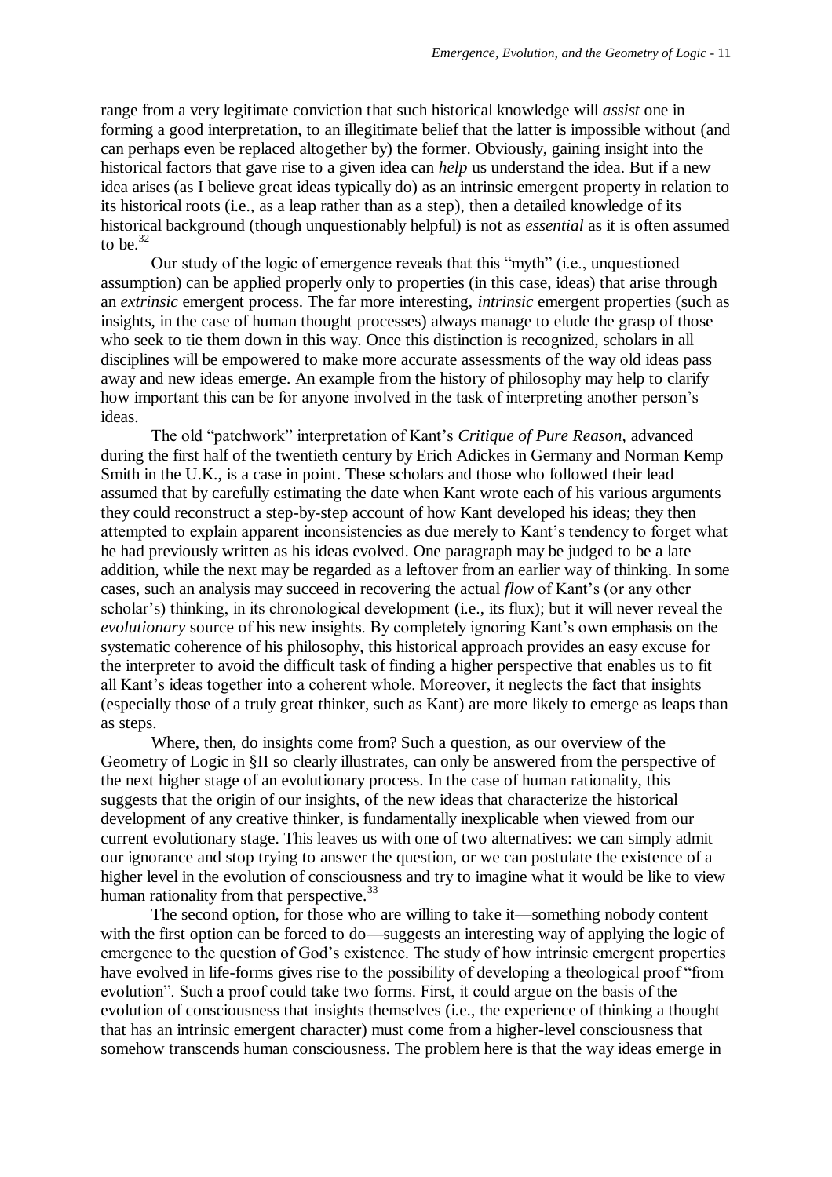range from a very legitimate conviction that such historical knowledge will *assist* one in forming a good interpretation, to an illegitimate belief that the latter is impossible without (and can perhaps even be replaced altogether by) the former. Obviously, gaining insight into the historical factors that gave rise to a given idea can *help* us understand the idea. But if a new idea arises (as I believe great ideas typically do) as an intrinsic emergent property in relation to its historical roots (i.e., as a leap rather than as a step), then a detailed knowledge of its historical background (though unquestionably helpful) is not as *essential* as it is often assumed to be.  $32$ 

Our study of the logic of emergence reveals that this "myth" (i.e., unquestioned assumption) can be applied properly only to properties (in this case, ideas) that arise through an *extrinsic* emergent process. The far more interesting, *intrinsic* emergent properties (such as insights, in the case of human thought processes) always manage to elude the grasp of those who seek to tie them down in this way. Once this distinction is recognized, scholars in all disciplines will be empowered to make more accurate assessments of the way old ideas pass away and new ideas emerge. An example from the history of philosophy may help to clarify how important this can be for anyone involved in the task of interpreting another person's ideas.

The old "patchwork" interpretation of Kant's *Critique of Pure Reason*, advanced during the first half of the twentieth century by Erich Adickes in Germany and Norman Kemp Smith in the U.K., is a case in point. These scholars and those who followed their lead assumed that by carefully estimating the date when Kant wrote each of his various arguments they could reconstruct a step-by-step account of how Kant developed his ideas; they then attempted to explain apparent inconsistencies as due merely to Kant's tendency to forget what he had previously written as his ideas evolved. One paragraph may be judged to be a late addition, while the next may be regarded as a leftover from an earlier way of thinking. In some cases, such an analysis may succeed in recovering the actual *flow* of Kant's (or any other scholar's) thinking, in its chronological development (i.e., its flux); but it will never reveal the *evolutionary* source of his new insights. By completely ignoring Kant's own emphasis on the systematic coherence of his philosophy, this historical approach provides an easy excuse for the interpreter to avoid the difficult task of finding a higher perspective that enables us to fit all Kant's ideas together into a coherent whole. Moreover, it neglects the fact that insights (especially those of a truly great thinker, such as Kant) are more likely to emerge as leaps than as steps.

Where, then, do insights come from? Such a question, as our overview of the Geometry of Logic in §II so clearly illustrates, can only be answered from the perspective of the next higher stage of an evolutionary process. In the case of human rationality, this suggests that the origin of our insights, of the new ideas that characterize the historical development of any creative thinker, is fundamentally inexplicable when viewed from our current evolutionary stage. This leaves us with one of two alternatives: we can simply admit our ignorance and stop trying to answer the question, or we can postulate the existence of a higher level in the evolution of consciousness and try to imagine what it would be like to view human rationality from that perspective.<sup>33</sup>

The second option, for those who are willing to take it—something nobody content with the first option can be forced to do—suggests an interesting way of applying the logic of emergence to the question of God's existence. The study of how intrinsic emergent properties have evolved in life-forms gives rise to the possibility of developing a theological proof "from evolution". Such a proof could take two forms. First, it could argue on the basis of the evolution of consciousness that insights themselves (i.e., the experience of thinking a thought that has an intrinsic emergent character) must come from a higher-level consciousness that somehow transcends human consciousness. The problem here is that the way ideas emerge in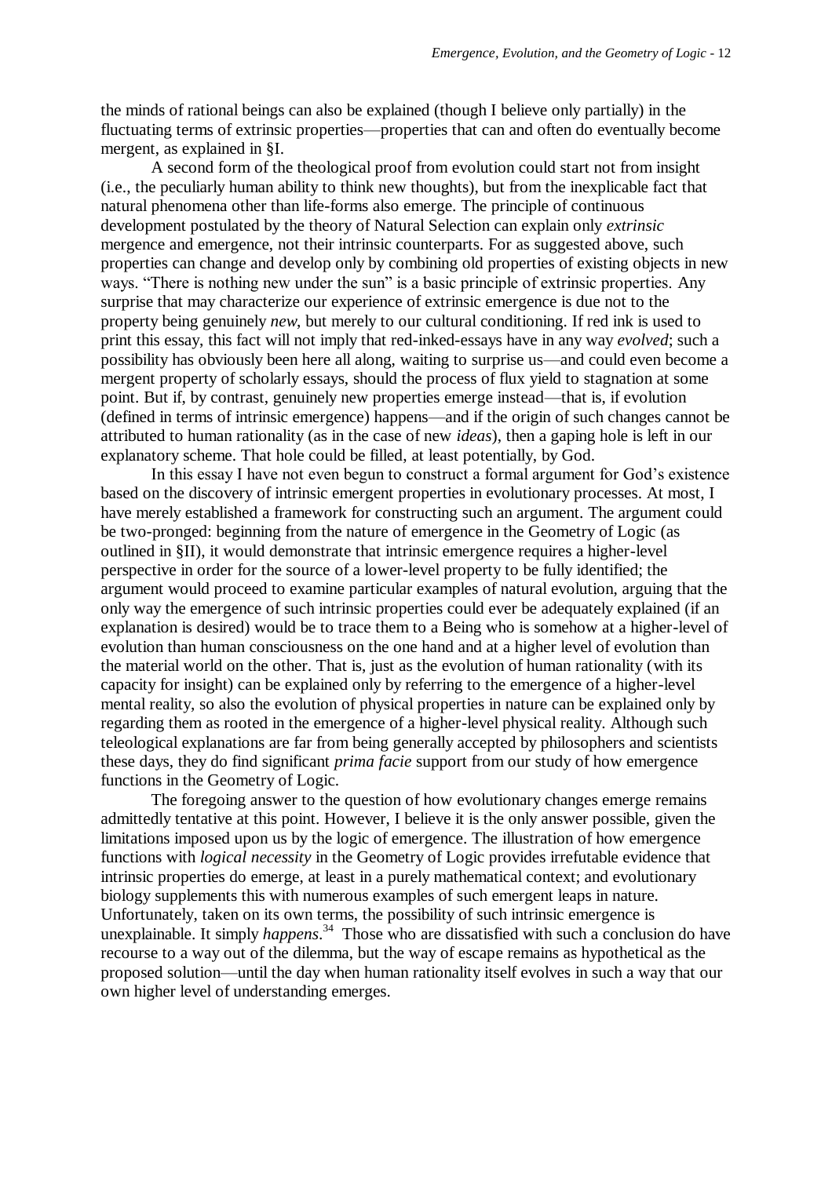the minds of rational beings can also be explained (though I believe only partially) in the fluctuating terms of extrinsic properties—properties that can and often do eventually become mergent, as explained in §I.

A second form of the theological proof from evolution could start not from insight (i.e., the peculiarly human ability to think new thoughts), but from the inexplicable fact that natural phenomena other than life-forms also emerge. The principle of continuous development postulated by the theory of Natural Selection can explain only *extrinsic* mergence and emergence, not their intrinsic counterparts. For as suggested above, such properties can change and develop only by combining old properties of existing objects in new ways. "There is nothing new under the sun" is a basic principle of extrinsic properties. Any surprise that may characterize our experience of extrinsic emergence is due not to the property being genuinely *new*, but merely to our cultural conditioning. If red ink is used to print this essay, this fact will not imply that red-inked-essays have in any way *evolved*; such a possibility has obviously been here all along, waiting to surprise us—and could even become a mergent property of scholarly essays, should the process of flux yield to stagnation at some point. But if, by contrast, genuinely new properties emerge instead—that is, if evolution (defined in terms of intrinsic emergence) happens—and if the origin of such changes cannot be attributed to human rationality (as in the case of new *ideas*), then a gaping hole is left in our explanatory scheme. That hole could be filled, at least potentially, by God.

In this essay I have not even begun to construct a formal argument for God's existence based on the discovery of intrinsic emergent properties in evolutionary processes. At most, I have merely established a framework for constructing such an argument. The argument could be two-pronged: beginning from the nature of emergence in the Geometry of Logic (as outlined in §II), it would demonstrate that intrinsic emergence requires a higher-level perspective in order for the source of a lower-level property to be fully identified; the argument would proceed to examine particular examples of natural evolution, arguing that the only way the emergence of such intrinsic properties could ever be adequately explained (if an explanation is desired) would be to trace them to a Being who is somehow at a higher-level of evolution than human consciousness on the one hand and at a higher level of evolution than the material world on the other. That is, just as the evolution of human rationality (with its capacity for insight) can be explained only by referring to the emergence of a higher-level mental reality, so also the evolution of physical properties in nature can be explained only by regarding them as rooted in the emergence of a higher-level physical reality. Although such teleological explanations are far from being generally accepted by philosophers and scientists these days, they do find significant *prima facie* support from our study of how emergence functions in the Geometry of Logic.

The foregoing answer to the question of how evolutionary changes emerge remains admittedly tentative at this point. However, I believe it is the only answer possible, given the limitations imposed upon us by the logic of emergence. The illustration of how emergence functions with *logical necessity* in the Geometry of Logic provides irrefutable evidence that intrinsic properties do emerge, at least in a purely mathematical context; and evolutionary biology supplements this with numerous examples of such emergent leaps in nature. Unfortunately, taken on its own terms, the possibility of such intrinsic emergence is unexplainable. It simply *happens*. <sup>34</sup> Those who are dissatisfied with such a conclusion do have recourse to a way out of the dilemma, but the way of escape remains as hypothetical as the proposed solution—until the day when human rationality itself evolves in such a way that our own higher level of understanding emerges.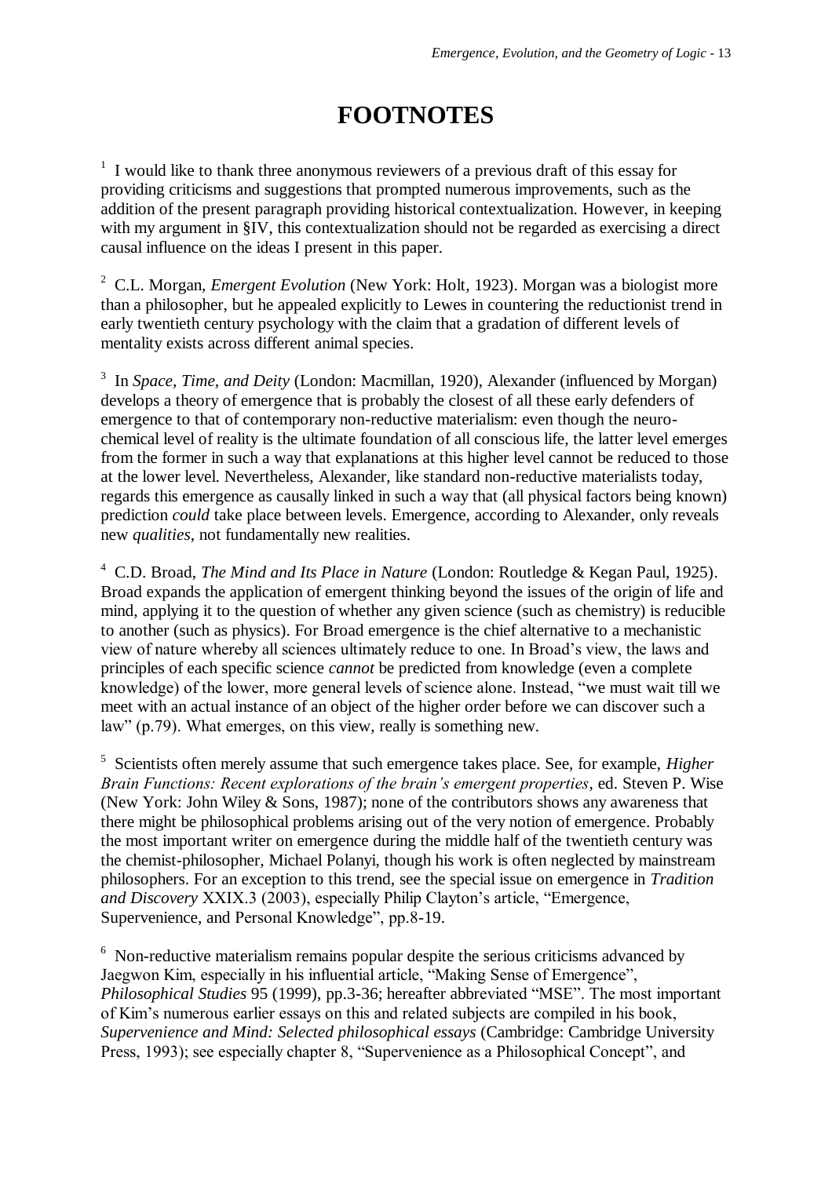# **FOOTNOTES**

<sup>1</sup> I would like to thank three anonymous reviewers of a previous draft of this essay for providing criticisms and suggestions that prompted numerous improvements, such as the addition of the present paragraph providing historical contextualization. However, in keeping with my argument in §IV, this contextualization should not be regarded as exercising a direct causal influence on the ideas I present in this paper.

<sup>2</sup> C.L. Morgan, *Emergent Evolution* (New York: Holt, 1923). Morgan was a biologist more than a philosopher, but he appealed explicitly to Lewes in countering the reductionist trend in early twentieth century psychology with the claim that a gradation of different levels of mentality exists across different animal species.

<sup>3</sup> In *Space, Time, and Deity* (London: Macmillan, 1920), Alexander (influenced by Morgan) develops a theory of emergence that is probably the closest of all these early defenders of emergence to that of contemporary non-reductive materialism: even though the neurochemical level of reality is the ultimate foundation of all conscious life, the latter level emerges from the former in such a way that explanations at this higher level cannot be reduced to those at the lower level. Nevertheless, Alexander, like standard non-reductive materialists today, regards this emergence as causally linked in such a way that (all physical factors being known) prediction *could* take place between levels. Emergence, according to Alexander, only reveals new *qualities*, not fundamentally new realities.

<sup>4</sup> C.D. Broad, *The Mind and Its Place in Nature* (London: Routledge & Kegan Paul, 1925). Broad expands the application of emergent thinking beyond the issues of the origin of life and mind, applying it to the question of whether any given science (such as chemistry) is reducible to another (such as physics). For Broad emergence is the chief alternative to a mechanistic view of nature whereby all sciences ultimately reduce to one. In Broad's view, the laws and principles of each specific science *cannot* be predicted from knowledge (even a complete knowledge) of the lower, more general levels of science alone. Instead, "we must wait till we meet with an actual instance of an object of the higher order before we can discover such a law" (p.79). What emerges, on this view, really is something new.

5 Scientists often merely assume that such emergence takes place. See, for example, *Higher Brain Functions: Recent explorations of the brain's emergent properties*, ed. Steven P. Wise (New York: John Wiley & Sons, 1987); none of the contributors shows any awareness that there might be philosophical problems arising out of the very notion of emergence. Probably the most important writer on emergence during the middle half of the twentieth century was the chemist-philosopher, Michael Polanyi, though his work is often neglected by mainstream philosophers. For an exception to this trend, see the special issue on emergence in *Tradition and Discovery* XXIX.3 (2003), especially Philip Clayton's article, "Emergence, Supervenience, and Personal Knowledge", pp.8-19.

<sup>6</sup> Non-reductive materialism remains popular despite the serious criticisms advanced by Jaegwon Kim, especially in his influential article, "Making Sense of Emergence", *Philosophical Studies* 95 (1999), pp.3-36; hereafter abbreviated "MSE". The most important of Kim's numerous earlier essays on this and related subjects are compiled in his book, *Supervenience and Mind: Selected philosophical essays* (Cambridge: Cambridge University Press, 1993); see especially chapter 8, "Supervenience as a Philosophical Concept", and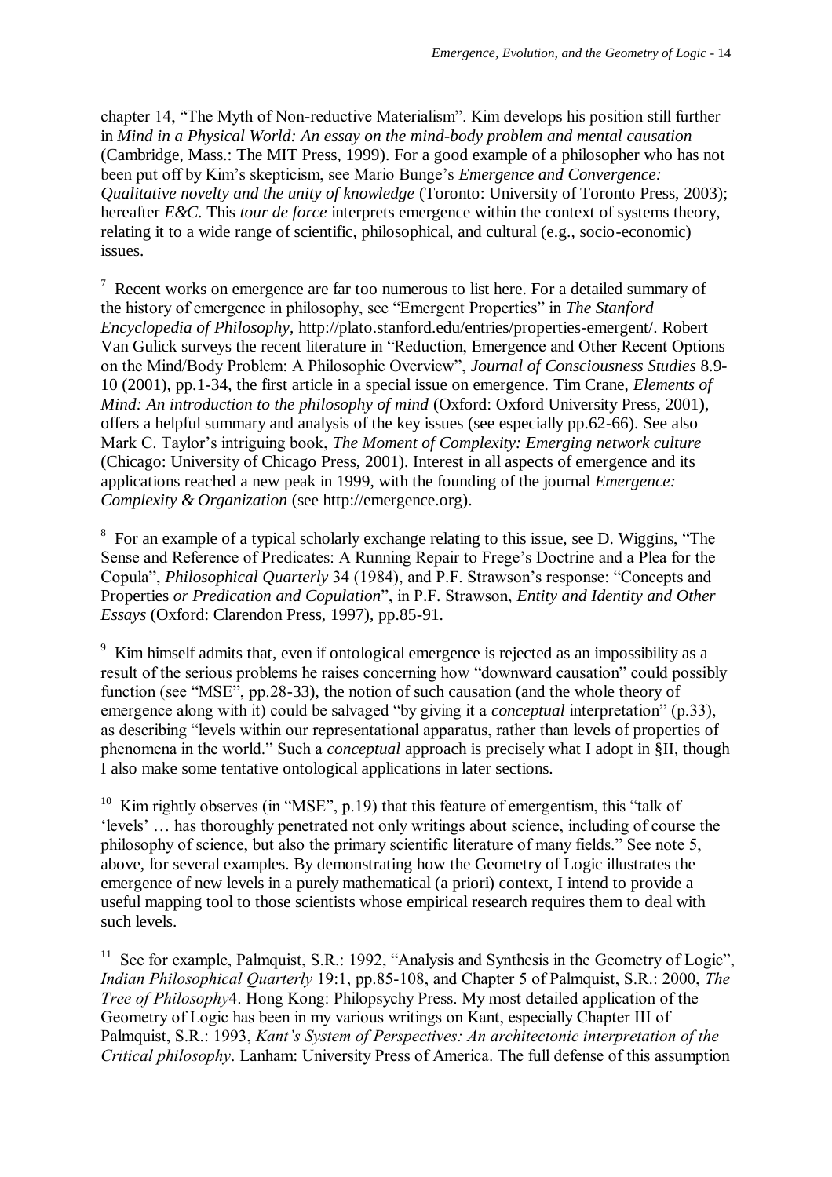chapter 14, "The Myth of Non-reductive Materialism". Kim develops his position still further in *Mind in a Physical World: An essay on the mind-body problem and mental causation*  (Cambridge, Mass.: The MIT Press, 1999). For a good example of a philosopher who has not been put off by Kim's skepticism, see Mario Bunge's *Emergence and Convergence: Qualitative novelty and the unity of knowledge* (Toronto: University of Toronto Press, 2003); hereafter *E&C*. This *tour de force* interprets emergence within the context of systems theory, relating it to a wide range of scientific, philosophical, and cultural (e.g., socio-economic) issues.

 $<sup>7</sup>$  Recent works on emergence are far too numerous to list here. For a detailed summary of</sup> the history of emergence in philosophy, see "Emergent Properties" in *The Stanford Encyclopedia of Philosophy*, http://plato.stanford.edu/entries/properties-emergent/. Robert Van Gulick surveys the recent literature in "Reduction, Emergence and Other Recent Options on the Mind/Body Problem: A Philosophic Overview", *Journal of Consciousness Studies* 8.9- 10 (2001), pp.1-34, the first article in a special issue on emergence. Tim Crane, *Elements of Mind: An introduction to the philosophy of mind* (Oxford: Oxford University Press, 2001**)**, offers a helpful summary and analysis of the key issues (see especially pp.62-66). See also Mark C. Taylor's intriguing book, *The Moment of Complexity: Emerging network culture* (Chicago: University of Chicago Press, 2001). Interest in all aspects of emergence and its applications reached a new peak in 1999, with the founding of the journal *Emergence: Complexity & Organization* (see http://emergence.org).

 $8\,$  For an example of a typical scholarly exchange relating to this issue, see D. Wiggins, "The Sense and Reference of Predicates: A Running Repair to Frege's Doctrine and a Plea for the Copula", *Philosophical Quarterly* 34 (1984), and P.F. Strawson's response: "Concepts and Properties *or Predication and Copulation*", in P.F. Strawson, *Entity and Identity and Other Essays* (Oxford: Clarendon Press, 1997), pp.85-91.

<sup>9</sup> Kim himself admits that, even if ontological emergence is rejected as an impossibility as a result of the serious problems he raises concerning how "downward causation" could possibly function (see "MSE", pp.28-33), the notion of such causation (and the whole theory of emergence along with it) could be salvaged "by giving it a *conceptual* interpretation" (p.33), as describing "levels within our representational apparatus, rather than levels of properties of phenomena in the world." Such a *conceptual* approach is precisely what I adopt in §II, though I also make some tentative ontological applications in later sections.

<sup>10</sup> Kim rightly observes (in "MSE", p.19) that this feature of emergentism, this "talk of 'levels' … has thoroughly penetrated not only writings about science, including of course the philosophy of science, but also the primary scientific literature of many fields." See note 5, above, for several examples. By demonstrating how the Geometry of Logic illustrates the emergence of new levels in a purely mathematical (a priori) context, I intend to provide a useful mapping tool to those scientists whose empirical research requires them to deal with such levels.

<sup>11</sup> See for example, Palmquist, S.R.: 1992, "Analysis and Synthesis in the Geometry of Logic", *Indian Philosophical Quarterly* 19:1, pp.85-108, and Chapter 5 of Palmquist, S.R.: 2000, *The Tree of Philosophy*4. Hong Kong: Philopsychy Press. My most detailed application of the Geometry of Logic has been in my various writings on Kant, especially Chapter III of Palmquist, S.R.: 1993, *Kant's System of Perspectives: An architectonic interpretation of the Critical philosophy*. Lanham: University Press of America. The full defense of this assumption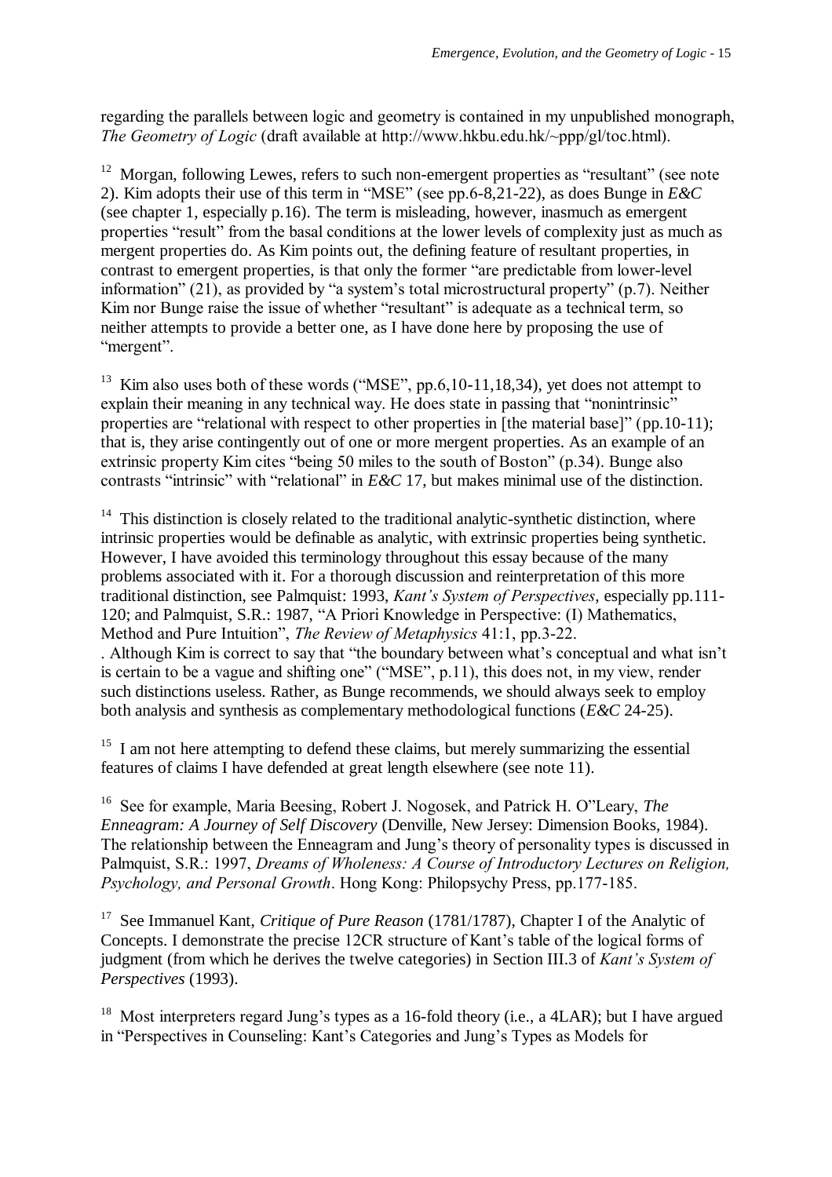regarding the parallels between logic and geometry is contained in my unpublished monograph, *The Geometry of Logic* (draft available at http://www.hkbu.edu.hk/~ppp/gl/toc.html).

 $12$  Morgan, following Lewes, refers to such non-emergent properties as "resultant" (see note 2). Kim adopts their use of this term in "MSE" (see pp.6-8,21-22), as does Bunge in *E&C* (see chapter 1, especially p.16). The term is misleading, however, inasmuch as emergent properties "result" from the basal conditions at the lower levels of complexity just as much as mergent properties do. As Kim points out, the defining feature of resultant properties, in contrast to emergent properties, is that only the former "are predictable from lower-level information" (21), as provided by "a system's total microstructural property" (p.7). Neither Kim nor Bunge raise the issue of whether "resultant" is adequate as a technical term, so neither attempts to provide a better one, as I have done here by proposing the use of "mergent".

 $13$  Kim also uses both of these words ("MSE", pp.6,10-11,18,34), yet does not attempt to explain their meaning in any technical way. He does state in passing that "nonintrinsic" properties are "relational with respect to other properties in [the material base]" (pp.10-11); that is, they arise contingently out of one or more mergent properties. As an example of an extrinsic property Kim cites "being 50 miles to the south of Boston" (p.34). Bunge also contrasts "intrinsic" with "relational" in *E&C* 17, but makes minimal use of the distinction.

 $14$  This distinction is closely related to the traditional analytic-synthetic distinction, where intrinsic properties would be definable as analytic, with extrinsic properties being synthetic. However, I have avoided this terminology throughout this essay because of the many problems associated with it. For a thorough discussion and reinterpretation of this more traditional distinction, see Palmquist: 1993, *Kant's System of Perspectives*, especially pp.111- 120; and Palmquist, S.R.: 1987, "A Priori Knowledge in Perspective: (I) Mathematics, Method and Pure Intuition", *The Review of Metaphysics* 41:1, pp.3-22.

. Although Kim is correct to say that "the boundary between what's conceptual and what isn't is certain to be a vague and shifting one" ("MSE", p.11), this does not, in my view, render such distinctions useless. Rather, as Bunge recommends, we should always seek to employ both analysis and synthesis as complementary methodological functions (*E&C* 24-25).

 $15$  I am not here attempting to defend these claims, but merely summarizing the essential features of claims I have defended at great length elsewhere (see note 11).

<sup>16</sup> See for example, Maria Beesing, Robert J. Nogosek, and Patrick H. O"Leary, *The Enneagram: A Journey of Self Discovery* (Denville, New Jersey: Dimension Books, 1984). The relationship between the Enneagram and Jung's theory of personality types is discussed in Palmquist, S.R.: 1997, *Dreams of Wholeness: A Course of Introductory Lectures on Religion, Psychology, and Personal Growth*. Hong Kong: Philopsychy Press, pp.177-185.

<sup>17</sup> See Immanuel Kant, *Critique of Pure Reason* (1781/1787), Chapter I of the Analytic of Concepts. I demonstrate the precise 12CR structure of Kant's table of the logical forms of judgment (from which he derives the twelve categories) in Section III.3 of *Kant's System of Perspectives* (1993).

<sup>18</sup> Most interpreters regard Jung's types as a 16-fold theory (i.e., a 4LAR); but I have argued in "Perspectives in Counseling: Kant's Categories and Jung's Types as Models for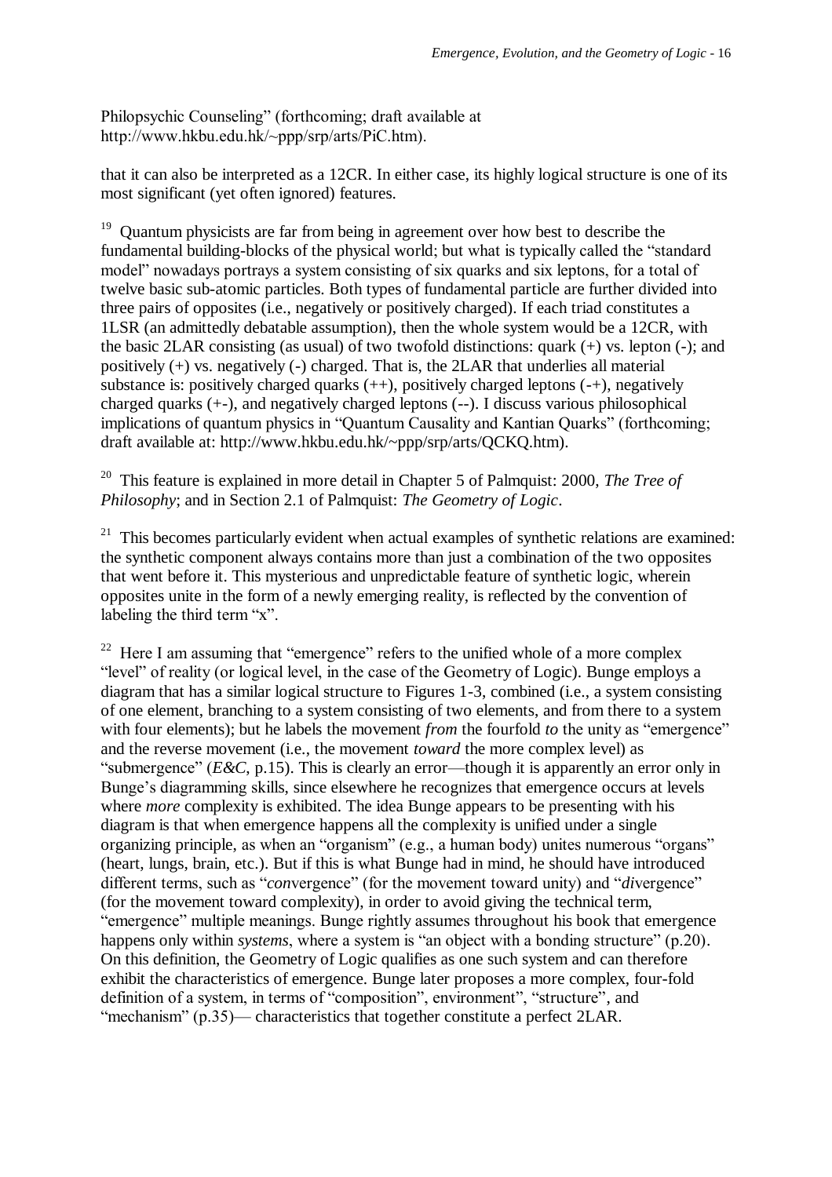Philopsychic Counseling" (forthcoming; draft available at http://www.hkbu.edu.hk/~ppp/srp/arts/PiC.htm).

that it can also be interpreted as a 12CR. In either case, its highly logical structure is one of its most significant (yet often ignored) features.

 $19$  Quantum physicists are far from being in agreement over how best to describe the fundamental building-blocks of the physical world; but what is typically called the "standard model" nowadays portrays a system consisting of six quarks and six leptons, for a total of twelve basic sub-atomic particles. Both types of fundamental particle are further divided into three pairs of opposites (i.e., negatively or positively charged). If each triad constitutes a 1LSR (an admittedly debatable assumption), then the whole system would be a 12CR, with the basic 2LAR consisting (as usual) of two twofold distinctions: quark (+) vs. lepton (-); and positively (+) vs. negatively (-) charged. That is, the 2LAR that underlies all material substance is: positively charged quarks  $(++)$ , positively charged leptons  $(-+)$ , negatively charged quarks (+-), and negatively charged leptons (--). I discuss various philosophical implications of quantum physics in "Quantum Causality and Kantian Quarks" (forthcoming; draft available at: http://www.hkbu.edu.hk/~ppp/srp/arts/QCKQ.htm).

<sup>20</sup> This feature is explained in more detail in Chapter 5 of Palmquist: 2000, *The Tree of Philosophy*; and in Section 2.1 of Palmquist: *The Geometry of Logic*.

 $21$  This becomes particularly evident when actual examples of synthetic relations are examined: the synthetic component always contains more than just a combination of the two opposites that went before it. This mysterious and unpredictable feature of synthetic logic, wherein opposites unite in the form of a newly emerging reality, is reflected by the convention of labeling the third term "x".

<sup>22</sup> Here I am assuming that "emergence" refers to the unified whole of a more complex "level" of reality (or logical level, in the case of the Geometry of Logic). Bunge employs a diagram that has a similar logical structure to Figures 1-3, combined (i.e., a system consisting of one element, branching to a system consisting of two elements, and from there to a system with four elements); but he labels the movement *from* the fourfold *to* the unity as "emergence" and the reverse movement (i.e., the movement *toward* the more complex level) as "submergence" (*E&C*, p.15). This is clearly an error—though it is apparently an error only in Bunge's diagramming skills, since elsewhere he recognizes that emergence occurs at levels where *more* complexity is exhibited. The idea Bunge appears to be presenting with his diagram is that when emergence happens all the complexity is unified under a single organizing principle, as when an "organism" (e.g., a human body) unites numerous "organs" (heart, lungs, brain, etc.). But if this is what Bunge had in mind, he should have introduced different terms, such as "*con*vergence" (for the movement toward unity) and "*di*vergence" (for the movement toward complexity), in order to avoid giving the technical term, "emergence" multiple meanings. Bunge rightly assumes throughout his book that emergence happens only within *systems*, where a system is "an object with a bonding structure" (p.20). On this definition, the Geometry of Logic qualifies as one such system and can therefore exhibit the characteristics of emergence. Bunge later proposes a more complex, four-fold definition of a system, in terms of "composition", environment", "structure", and "mechanism" (p.35)— characteristics that together constitute a perfect 2LAR.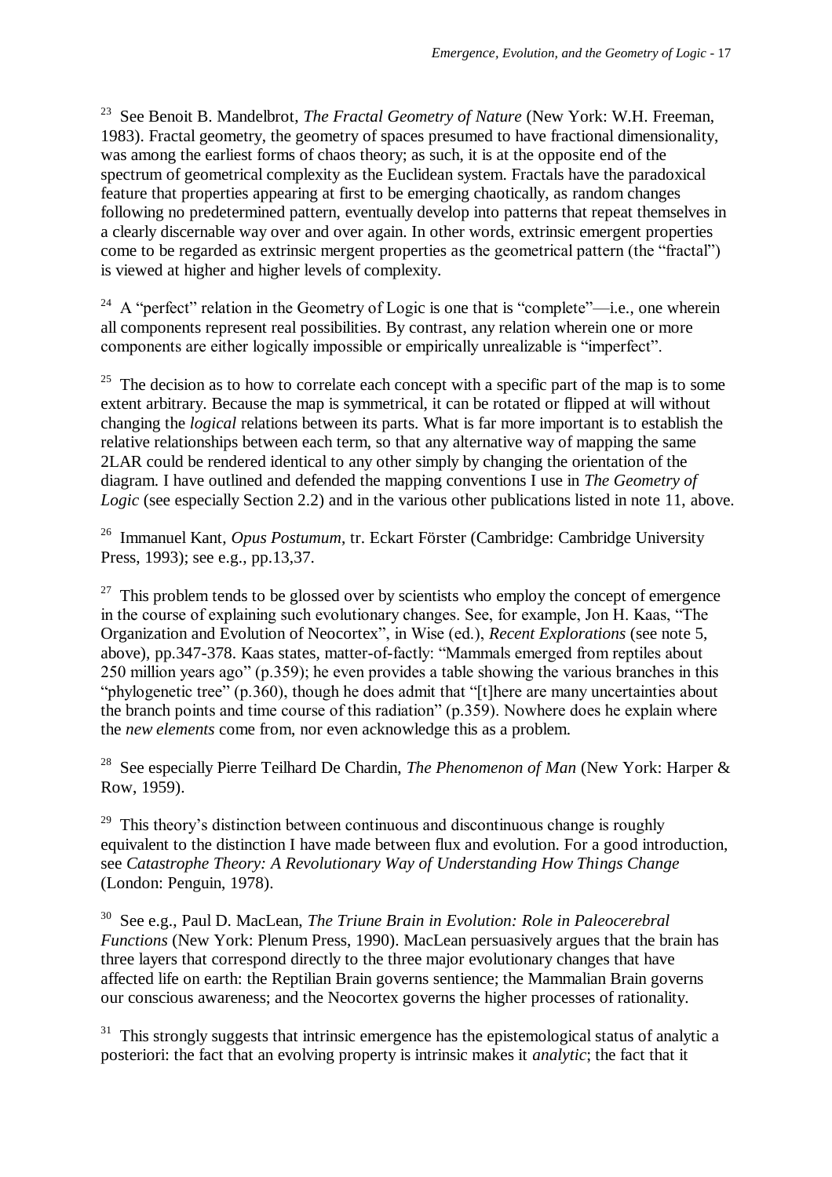<sup>23</sup> See Benoit B. Mandelbrot, *The Fractal Geometry of Nature* (New York: W.H. Freeman, 1983). Fractal geometry, the geometry of spaces presumed to have fractional dimensionality, was among the earliest forms of chaos theory; as such, it is at the opposite end of the spectrum of geometrical complexity as the Euclidean system. Fractals have the paradoxical feature that properties appearing at first to be emerging chaotically, as random changes following no predetermined pattern, eventually develop into patterns that repeat themselves in a clearly discernable way over and over again. In other words, extrinsic emergent properties come to be regarded as extrinsic mergent properties as the geometrical pattern (the "fractal") is viewed at higher and higher levels of complexity.

<sup>24</sup> A "perfect" relation in the Geometry of Logic is one that is "complete"—i.e., one wherein all components represent real possibilities. By contrast, any relation wherein one or more components are either logically impossible or empirically unrealizable is "imperfect".

 $25$  The decision as to how to correlate each concept with a specific part of the map is to some extent arbitrary. Because the map is symmetrical, it can be rotated or flipped at will without changing the *logical* relations between its parts. What is far more important is to establish the relative relationships between each term, so that any alternative way of mapping the same 2LAR could be rendered identical to any other simply by changing the orientation of the diagram. I have outlined and defended the mapping conventions I use in *The Geometry of Logic* (see especially Section 2.2) and in the various other publications listed in note 11, above.

<sup>26</sup> Immanuel Kant, *Opus Postumum*, tr. Eckart Förster (Cambridge: Cambridge University Press, 1993); see e.g., pp.13,37.

 $27$  This problem tends to be glossed over by scientists who employ the concept of emergence in the course of explaining such evolutionary changes. See, for example, Jon H. Kaas, "The Organization and Evolution of Neocortex", in Wise (ed.), *Recent Explorations* (see note 5, above), pp.347-378. Kaas states, matter-of-factly: "Mammals emerged from reptiles about 250 million years ago" (p.359); he even provides a table showing the various branches in this "phylogenetic tree" (p.360), though he does admit that "[t]here are many uncertainties about the branch points and time course of this radiation" (p.359). Nowhere does he explain where the *new elements* come from, nor even acknowledge this as a problem.

<sup>28</sup> See especially Pierre Teilhard De Chardin, *The Phenomenon of Man* (New York: Harper & Row, 1959).

 $29$  This theory's distinction between continuous and discontinuous change is roughly equivalent to the distinction I have made between flux and evolution. For a good introduction, see *Catastrophe Theory: A Revolutionary Way of Understanding How Things Change* (London: Penguin, 1978).

<sup>30</sup> See e.g., Paul D. MacLean, *The Triune Brain in Evolution: Role in Paleocerebral Functions* (New York: Plenum Press, 1990). MacLean persuasively argues that the brain has three layers that correspond directly to the three major evolutionary changes that have affected life on earth: the Reptilian Brain governs sentience; the Mammalian Brain governs our conscious awareness; and the Neocortex governs the higher processes of rationality.

 $31$  This strongly suggests that intrinsic emergence has the epistemological status of analytic a posteriori: the fact that an evolving property is intrinsic makes it *analytic*; the fact that it